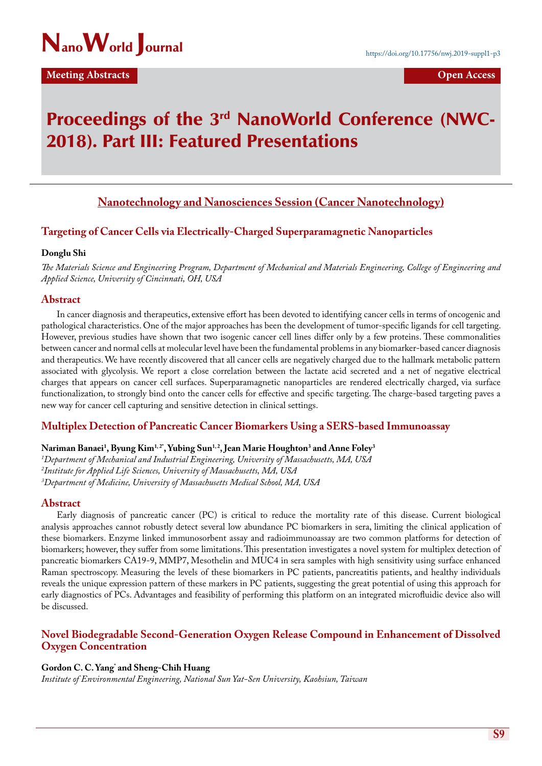

# Proceedings of the 3<sup>rd</sup> NanoWorld Conference (NWC-2018). Part III: Featured Presentations

# **Nanotechnology and Nanosciences Session (Cancer Nanotechnology)**

# **Targeting of Cancer Cells via Electrically-Charged Superparamagnetic Nanoparticles**

## **Donglu Shi**

*The Materials Science and Engineering Program, Department of Mechanical and Materials Engineering, College of Engineering and Applied Science, University of Cincinnati, OH, USA*

# **Abstract**

In cancer diagnosis and therapeutics, extensive effort has been devoted to identifying cancer cells in terms of oncogenic and pathological characteristics. One of the major approaches has been the development of tumor-specific ligands for cell targeting. However, previous studies have shown that two isogenic cancer cell lines differ only by a few proteins. These commonalities between cancer and normal cells at molecular level have been the fundamental problems in any biomarker-based cancer diagnosis and therapeutics. We have recently discovered that all cancer cells are negatively charged due to the hallmark metabolic pattern associated with glycolysis. We report a close correlation between the lactate acid secreted and a net of negative electrical charges that appears on cancer cell surfaces. Superparamagnetic nanoparticles are rendered electrically charged, via surface functionalization, to strongly bind onto the cancer cells for effective and specific targeting. The charge-based targeting paves a new way for cancer cell capturing and sensitive detection in clinical settings.

# **Multiplex Detection of Pancreatic Cancer Biomarkers Using a SERS-based Immunoassay**

# $\bm{\mathrm{N}}$ ariman Banaei<sup>1</sup>, Byung Kim<sup>1,2</sup>', Yubing Sun<sup>1,2</sup>, Jean Marie Houghton<sup>3</sup> and Anne Foley<sup>3</sup>

*1 Department of Mechanical and Industrial Engineering, University of Massachusetts, MA, USA 2 Institute for Applied Life Sciences, University of Massachusetts, MA, USA 3 Department of Medicine, University of Massachusetts Medical School, MA, USA*

# **Abstract**

Early diagnosis of pancreatic cancer (PC) is critical to reduce the mortality rate of this disease. Current biological analysis approaches cannot robustly detect several low abundance PC biomarkers in sera, limiting the clinical application of these biomarkers. Enzyme linked immunosorbent assay and radioimmunoassay are two common platforms for detection of biomarkers; however, they suffer from some limitations. This presentation investigates a novel system for multiplex detection of pancreatic biomarkers CA19-9, MMP7, Mesothelin and MUC4 in sera samples with high sensitivity using surface enhanced Raman spectroscopy. Measuring the levels of these biomarkers in PC patients, pancreatitis patients, and healthy individuals reveals the unique expression pattern of these markers in PC patients, suggesting the great potential of using this approach for early diagnostics of PCs. Advantages and feasibility of performing this platform on an integrated microfluidic device also will be discussed.

# **Novel Biodegradable Second-Generation Oxygen Release Compound in Enhancement of Dissolved Oxygen Concentration**

# **Gordon C. C. Yang\* and Sheng-Chih Huang**

*Institute of Environmental Engineering, National Sun Yat-Sen University, Kaohsiun, Taiwan*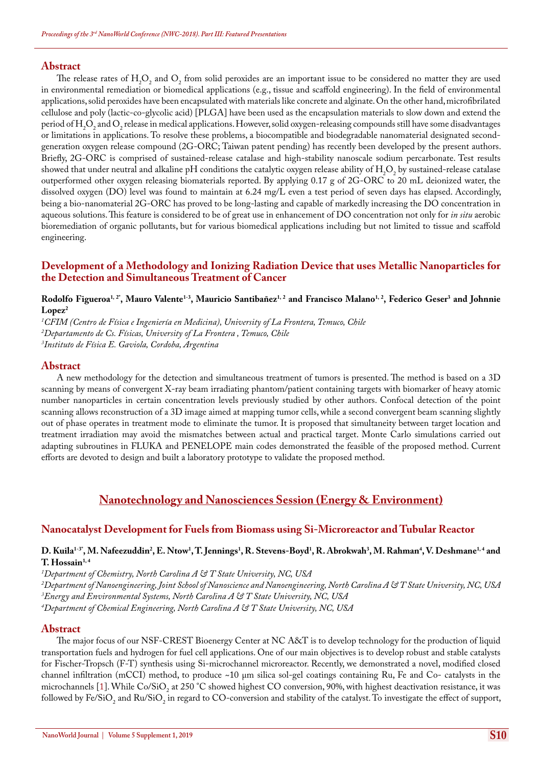The release rates of  $H_2O_2$  and  $O_2$  from solid peroxides are an important issue to be considered no matter they are used in environmental remediation or biomedical applications (e.g., tissue and scaffold engineering). In the field of environmental applications, solid peroxides have been encapsulated with materials like concrete and alginate. On the other hand, microfibrilated cellulose and poly (lactic-co-glycolic acid) [PLGA] have been used as the encapsulation materials to slow down and extend the period of  $H_2O_2$  and  $O_2$  release in medical applications. However, solid oxygen-releasing compounds still have some disadvantages or limitations in applications. To resolve these problems, a biocompatible and biodegradable nanomaterial designated secondgeneration oxygen release compound (2G-ORC; Taiwan patent pending) has recently been developed by the present authors. Briefly, 2G-ORC is comprised of sustained-release catalase and high-stability nanoscale sodium percarbonate. Test results showed that under neutral and alkaline pH conditions the catalytic oxygen release ability of  $\rm H_2O_2$  by sustained-release catalase outperformed other oxygen releasing biomaterials reported. By applying 0.17 g of 2G-ORC to 20 mL deionized water, the dissolved oxygen (DO) level was found to maintain at 6.24 mg/L even a test period of seven days has elapsed. Accordingly, being a bio-nanomaterial 2G-ORC has proved to be long-lasting and capable of markedly increasing the DO concentration in aqueous solutions. This feature is considered to be of great use in enhancement of DO concentration not only for *in situ* aerobic bioremediation of organic pollutants, but for various biomedical applications including but not limited to tissue and scaffold engineering.

# **Development of a Methodology and Ionizing Radiation Device that uses Metallic Nanoparticles for the Detection and Simultaneous Treatment of Cancer**

#### Rodolfo Figueroa<sup>1, 2</sup>', Mauro Valente<sup>1-3</sup>, Mauricio Santibañez<sup>1, 2</sup> and Francisco Malano<sup>1, 2</sup>, Federico Geser<sup>3</sup> and Johnnie Lopez<sup>2</sup>

*1 CFIM (Centro de Física e Ingeniería en Medicina), University of La Frontera, Temuco, Chile*

*2 Departamento de Cs. Físicas, University of La Frontera , Temuco, Chile*

*3 Instituto de Física E. Gaviola, Cordoba, Argentina*

# **Abstract**

A new methodology for the detection and simultaneous treatment of tumors is presented. The method is based on a 3D scanning by means of convergent X-ray beam irradiating phantom/patient containing targets with biomarker of heavy atomic number nanoparticles in certain concentration levels previously studied by other authors. Confocal detection of the point scanning allows reconstruction of a 3D image aimed at mapping tumor cells, while a second convergent beam scanning slightly out of phase operates in treatment mode to eliminate the tumor. It is proposed that simultaneity between target location and treatment irradiation may avoid the mismatches between actual and practical target. Monte Carlo simulations carried out adapting subroutines in FLUKA and PENELOPE main codes demonstrated the feasible of the proposed method. Current efforts are devoted to design and built a laboratory prototype to validate the proposed method.

# **Nanotechnology and Nanosciences Session (Energy & Environment)**

# **Nanocatalyst Development for Fuels from Biomass using Si-Microreactor and Tubular Reactor**

## D. Kuila<sup>1-3</sup>', M. Nafeezuddin<sup>2</sup>, E. Ntow<sup>1</sup>, T. Jennings<sup>1</sup>, R. Stevens-Boyd<sup>1</sup>, R. Abrokwah<sup>3</sup>, M. Rahman<sup>4</sup>, V. Deshmane<sup>1,4</sup> and T. Hossain<sup>1,4</sup>

*1 Department of Chemistry, North Carolina A & T State University, NC, USA*

*2 Department of Nanoengineering, Joint School of Nanoscience and Nanoengineering, North Carolina A & T State University, NC, USA*

*3 Energy and Environmental Systems, North Carolina A & T State University, NC, USA*

*4 Department of Chemical Engineering, North Carolina A & T State University, NC, USA*

## **Abstract**

The major focus of our NSF-CREST Bioenergy Center at NC A&T is to develop technology for the production of liquid transportation fuels and hydrogen for fuel cell applications. One of our main objectives is to develop robust and stable catalysts for Fischer-Tropsch (F-T) synthesis using Si-microchannel microreactor. Recently, we demonstrated a novel, modified closed channel infiltration (mCCI) method, to produce ~10 μm silica sol-gel coatings containing Ru, Fe and Co- catalysts in the microchannels [1]. While Co/SiO<sub>2</sub> at 250 °C showed highest CO conversion, 90%, with highest deactivation resistance, it was followed by Fe/SiO<sub>2</sub> and Ru/SiO<sub>2</sub> in regard to CO-conversion and stability of the catalyst. To investigate the effect of support,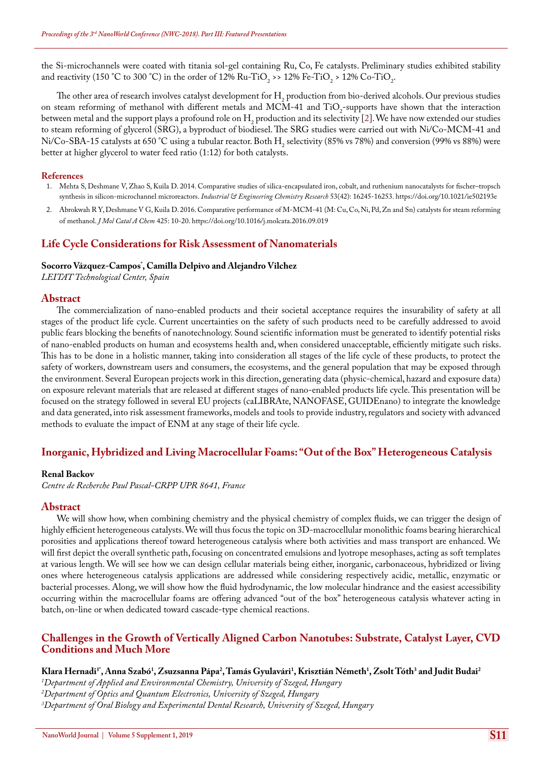the Si-microchannels were coated with titania sol-gel containing Ru, Co, Fe catalysts. Preliminary studies exhibited stability and reactivity (150 °C to 300 °C) in the order of 12% Ru-TiO<sub>2</sub> >> 12% Fe-TiO<sub>2</sub> > 12% Co-TiO<sub>2</sub>.

The other area of research involves catalyst development for  $H_2$  production from bio-derived alcohols. Our previous studies on steam reforming of methanol with different metals and MCM-41 and  $11O<sub>2</sub>$ -supports have shown that the interaction between metal and the support plays a profound role on  $H_2$  production and its selectivity [2]. We have now extended our studies to steam reforming of glycerol (SRG), a byproduct of biodiesel. The SRG studies were carried out with Ni/Co-MCM-41 and Ni/Co-SBA-15 catalysts at 650 °C using a tubular reactor. Both  $H_2$  selectivity (85% vs 78%) and conversion (99% vs 88%) were better at higher glycerol to water feed ratio (1:12) for both catalysts.

#### **References**

- 1. [Mehta S, Deshmane V, Zhao S, Kuila D. 2014. Comparative studies of silica-encapsulated iron, cobalt, and ruthenium nanocatalysts for fischer–tropsch](https://pubs.acs.org/doi/abs/10.1021/ie502193e)  [synthesis in silicon-microchannel microreactors.](https://pubs.acs.org/doi/abs/10.1021/ie502193e) *Industrial & Engineering Chemistry Research* 53(42): 16245-16253. <https://doi.org/10.1021/ie502193e>
- 2. [Abrokwah R Y, Deshmane V G, Kuila D. 2016. Comparative performance of M-MCM-41 \(M: Cu, Co, Ni, Pd, Zn and Sn\) catalysts for steam reforming](https://www.sciencedirect.com/science/article/pii/S1381116916303910)  of methanol. *[J Mol Catal A Chem](https://www.sciencedirect.com/science/article/pii/S1381116916303910)* 425: 10-20. <https://doi.org/10.1016/j.molcata.2016.09.019>

# **Life Cycle Considerations for Risk Assessment of Nanomaterials**

# **Socorro Vázquez-Campos\* , Camilla Delpivo and Alejandro Vilchez**

*LEITAT Technological Center, Spain*

## **Abstract**

The commercialization of nano-enabled products and their societal acceptance requires the insurability of safety at all stages of the product life cycle. Current uncertainties on the safety of such products need to be carefully addressed to avoid public fears blocking the benefits of nanotechnology. Sound scientific information must be generated to identify potential risks of nano-enabled products on human and ecosystems health and, when considered unacceptable, efficiently mitigate such risks. This has to be done in a holistic manner, taking into consideration all stages of the life cycle of these products, to protect the safety of workers, downstream users and consumers, the ecosystems, and the general population that may be exposed through the environment. Several European projects work in this direction, generating data (physic-chemical, hazard and exposure data) on exposure relevant materials that are released at different stages of nano-enabled products life cycle. This presentation will be focused on the strategy followed in several EU projects (caLIBRAte, NANOFASE, GUIDEnano) to integrate the knowledge and data generated, into risk assessment frameworks, models and tools to provide industry, regulators and society with advanced methods to evaluate the impact of ENM at any stage of their life cycle.

# **Inorganic, Hybridized and Living Macrocellular Foams: "Out of the Box" Heterogeneous Catalysis**

#### **Renal Backov**

*Centre de Recherche Paul Pascal-CRPP UPR 8641, France*

# **Abstract**

We will show how, when combining chemistry and the physical chemistry of complex fluids, we can trigger the design of highly efficient heterogeneous catalysts. We will thus focus the topic on 3D-macrocellular monolithic foams bearing hierarchical porosities and applications thereof toward heterogeneous catalysis where both activities and mass transport are enhanced. We will first depict the overall synthetic path, focusing on concentrated emulsions and lyotrope mesophases, acting as soft templates at various length. We will see how we can design cellular materials being either, inorganic, carbonaceous, hybridized or living ones where heterogeneous catalysis applications are addressed while considering respectively acidic, metallic, enzymatic or bacterial processes. Along, we will show how the fluid hydrodynamic, the low molecular hindrance and the easiest accessibility occurring within the macrocellular foams are offering advanced "out of the box" heterogeneous catalysis whatever acting in batch, on-line or when dedicated toward cascade-type chemical reactions.

# **Challenges in the Growth of Vertically Aligned Carbon Nanotubes: Substrate, Catalyst Layer, CVD Conditions and Much More**

**Klara Hernadi1\*, Anna Szabó1 , Zsuzsanna Pápa2 , Tamás Gyulavári1 , Krisztián Németh1 , Zsolt Tóth3 and Judit Budai2**

*1 Department of Applied and Environmental Chemistry, University of Szeged, Hungary*

*2 Department of Optics and Quantum Electronics, University of Szeged, Hungary*

*3 Department of Oral Biology and Experimental Dental Research, University of Szeged, Hungary*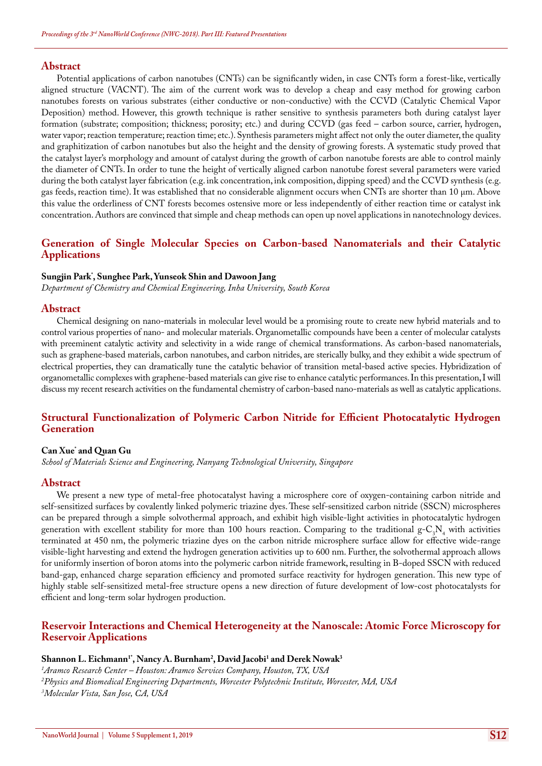Potential applications of carbon nanotubes (CNTs) can be significantly widen, in case CNTs form a forest-like, vertically aligned structure (VACNT). The aim of the current work was to develop a cheap and easy method for growing carbon nanotubes forests on various substrates (either conductive or non-conductive) with the CCVD (Catalytic Chemical Vapor Deposition) method. However, this growth technique is rather sensitive to synthesis parameters both during catalyst layer formation (substrate; composition; thickness; porosity; etc.) and during CCVD (gas feed – carbon source, carrier, hydrogen, water vapor; reaction temperature; reaction time; etc.). Synthesis parameters might affect not only the outer diameter, the quality and graphitization of carbon nanotubes but also the height and the density of growing forests. A systematic study proved that the catalyst layer's morphology and amount of catalyst during the growth of carbon nanotube forests are able to control mainly the diameter of CNTs. In order to tune the height of vertically aligned carbon nanotube forest several parameters were varied during the both catalyst layer fabrication (e.g. ink concentration, ink composition, dipping speed) and the CCVD synthesis (e.g. gas feeds, reaction time). It was established that no considerable alignment occurs when CNTs are shorter than 10 μm. Above this value the orderliness of CNT forests becomes ostensive more or less independently of either reaction time or catalyst ink concentration. Authors are convinced that simple and cheap methods can open up novel applications in nanotechnology devices.

# **Generation of Single Molecular Species on Carbon-based Nanomaterials and their Catalytic Applications**

#### **Sungjin Park\* , Sunghee Park, Yunseok Shin and Dawoon Jang**

*Department of Chemistry and Chemical Engineering, Inha University, South Korea*

#### **Abstract**

Chemical designing on nano-materials in molecular level would be a promising route to create new hybrid materials and to control various properties of nano- and molecular materials. Organometallic compounds have been a center of molecular catalysts with preeminent catalytic activity and selectivity in a wide range of chemical transformations. As carbon-based nanomaterials, such as graphene-based materials, carbon nanotubes, and carbon nitrides, are sterically bulky, and they exhibit a wide spectrum of electrical properties, they can dramatically tune the catalytic behavior of transition metal-based active species. Hybridization of organometallic complexes with graphene-based materials can give rise to enhance catalytic performances. In this presentation, I will discuss my recent research activities on the fundamental chemistry of carbon-based nano-materials as well as catalytic applications.

# **Structural Functionalization of Polymeric Carbon Nitride for Efficient Photocatalytic Hydrogen Generation**

#### **Can Xue\* and Quan Gu**

*School of Materials Science and Engineering, Nanyang Technological University, Singapore*

#### **Abstract**

We present a new type of metal-free photocatalyst having a microsphere core of oxygen-containing carbon nitride and self-sensitized surfaces by covalently linked polymeric triazine dyes. These self-sensitized carbon nitride (SSCN) microspheres can be prepared through a simple solvothermal approach, and exhibit high visible-light activities in photocatalytic hydrogen generation with excellent stability for more than 100 hours reaction. Comparing to the traditional  $g-C_3N_4$  with activities terminated at 450 nm, the polymeric triazine dyes on the carbon nitride microsphere surface allow for effective wide-range visible-light harvesting and extend the hydrogen generation activities up to 600 nm. Further, the solvothermal approach allows for uniformly insertion of boron atoms into the polymeric carbon nitride framework, resulting in B-doped SSCN with reduced band-gap, enhanced charge separation efficiency and promoted surface reactivity for hydrogen generation. This new type of highly stable self-sensitized metal-free structure opens a new direction of future development of low-cost photocatalysts for efficient and long-term solar hydrogen production.

## **Reservoir Interactions and Chemical Heterogeneity at the Nanoscale: Atomic Force Microscopy for Reservoir Applications**

## $\mathbf{S}$ hannon L. Eichmann<sup>1</sup>', Nancy A. Burnham<sup>2</sup>, David Jacobi<sup>1</sup> and Derek Nowak<sup>3</sup>

*1 Aramco Research Center – Houston: Aramco Services Company, Houston, TX, USA 2 Physics and Biomedical Engineering Departments, Worcester Polytechnic Institute, Worcester, MA, USA 3 Molecular Vista, San Jose, CA, USA*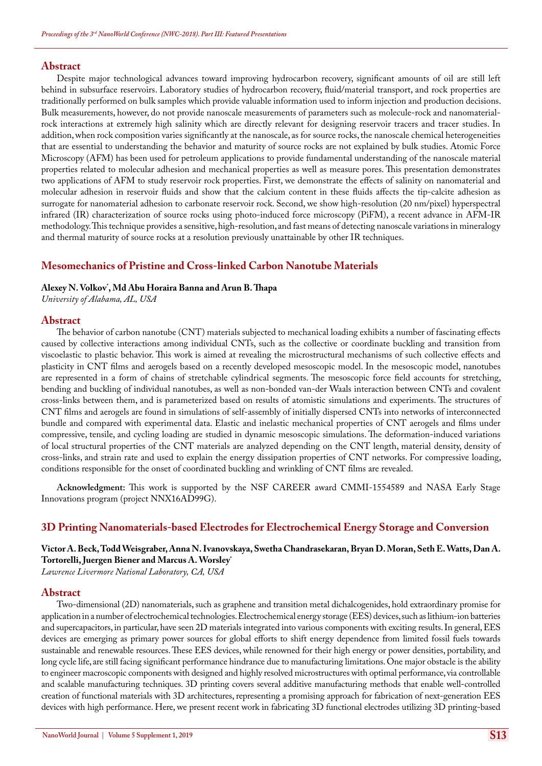Despite major technological advances toward improving hydrocarbon recovery, significant amounts of oil are still left behind in subsurface reservoirs. Laboratory studies of hydrocarbon recovery, fluid/material transport, and rock properties are traditionally performed on bulk samples which provide valuable information used to inform injection and production decisions. Bulk measurements, however, do not provide nanoscale measurements of parameters such as molecule-rock and nanomaterialrock interactions at extremely high salinity which are directly relevant for designing reservoir tracers and tracer studies. In addition, when rock composition varies significantly at the nanoscale, as for source rocks, the nanoscale chemical heterogeneities that are essential to understanding the behavior and maturity of source rocks are not explained by bulk studies. Atomic Force Microscopy (AFM) has been used for petroleum applications to provide fundamental understanding of the nanoscale material properties related to molecular adhesion and mechanical properties as well as measure pores. This presentation demonstrates two applications of AFM to study reservoir rock properties. First, we demonstrate the effects of salinity on nanomaterial and molecular adhesion in reservoir fluids and show that the calcium content in these fluids affects the tip-calcite adhesion as surrogate for nanomaterial adhesion to carbonate reservoir rock. Second, we show high-resolution (20 nm/pixel) hyperspectral infrared (IR) characterization of source rocks using photo-induced force microscopy (PiFM), a recent advance in AFM-IR methodology. This technique provides a sensitive, high-resolution, and fast means of detecting nanoscale variations in mineralogy and thermal maturity of source rocks at a resolution previously unattainable by other IR techniques.

## **Mesomechanics of Pristine and Cross-linked Carbon Nanotube Materials**

## **Alexey N. Volkov\* , Md Abu Horaira Banna and Arun B. Thapa**

*University of Alabama, AL, USA*

#### **Abstract**

The behavior of carbon nanotube (CNT) materials subjected to mechanical loading exhibits a number of fascinating effects caused by collective interactions among individual CNTs, such as the collective or coordinate buckling and transition from viscoelastic to plastic behavior. This work is aimed at revealing the microstructural mechanisms of such collective effects and plasticity in CNT films and aerogels based on a recently developed mesoscopic model. In the mesoscopic model, nanotubes are represented in a form of chains of stretchable cylindrical segments. The mesoscopic force field accounts for stretching, bending and buckling of individual nanotubes, as well as non-bonded van-der Waals interaction between CNTs and covalent cross-links between them, and is parameterized based on results of atomistic simulations and experiments. The structures of CNT films and aerogels are found in simulations of self-assembly of initially dispersed CNTs into networks of interconnected bundle and compared with experimental data. Elastic and inelastic mechanical properties of CNT aerogels and films under compressive, tensile, and cycling loading are studied in dynamic mesoscopic simulations. The deformation-induced variations of local structural properties of the CNT materials are analyzed depending on the CNT length, material density, density of cross-links, and strain rate and used to explain the energy dissipation properties of CNT networks. For compressive loading, conditions responsible for the onset of coordinated buckling and wrinkling of CNT films are revealed.

**Acknowledgment:** This work is supported by the NSF CAREER award CMMI-1554589 and NASA Early Stage Innovations program (project NNX16AD99G).

## **3D Printing Nanomaterials-based Electrodes for Electrochemical Energy Storage and Conversion**

# **Victor A. Beck, Todd Weisgraber, Anna N. Ivanovskaya, Swetha Chandrasekaran, Bryan D. Moran, Seth E. Watts, Dan A. Tortorelli, Juergen Biener and Marcus A. Worsley\***

*Lawrence Livermore National Laboratory, CA, USA*

#### **Abstract**

Two-dimensional (2D) nanomaterials, such as graphene and transition metal dichalcogenides, hold extraordinary promise for application in a number of electrochemical technologies. Electrochemical energy storage (EES) devices, such as lithium-ion batteries and supercapacitors, in particular, have seen 2D materials integrated into various components with exciting results. In general, EES devices are emerging as primary power sources for global efforts to shift energy dependence from limited fossil fuels towards sustainable and renewable resources. These EES devices, while renowned for their high energy or power densities, portability, and long cycle life, are still facing significant performance hindrance due to manufacturing limitations. One major obstacle is the ability to engineer macroscopic components with designed and highly resolved microstructures with optimal performance, via controllable and scalable manufacturing techniques. 3D printing covers several additive manufacturing methods that enable well-controlled creation of functional materials with 3D architectures, representing a promising approach for fabrication of next-generation EES devices with high performance. Here, we present recent work in fabricating 3D functional electrodes utilizing 3D printing-based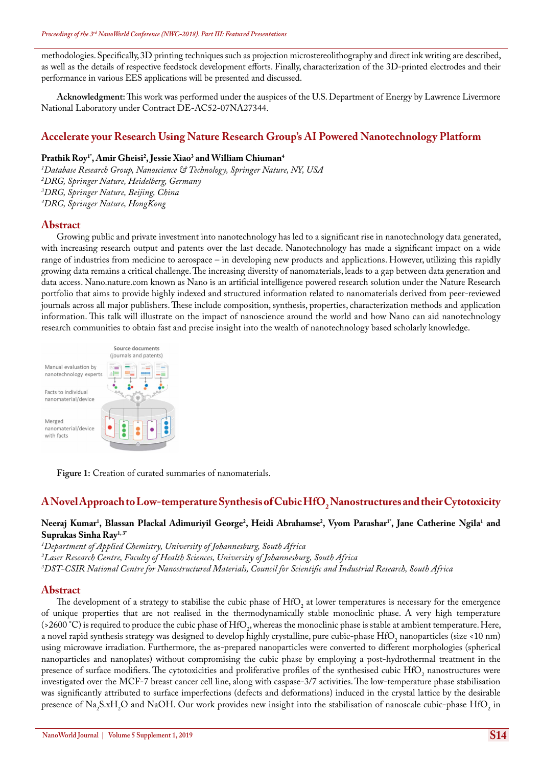methodologies. Specifically, 3D printing techniques such as projection microstereolithography and direct ink writing are described, as well as the details of respective feedstock development efforts. Finally, characterization of the 3D-printed electrodes and their performance in various EES applications will be presented and discussed.

**Acknowledgment:** This work was performed under the auspices of the U.S. Department of Energy by Lawrence Livermore National Laboratory under Contract DE-AC52-07NA27344.

# **Accelerate your Research Using Nature Research Group's AI Powered Nanotechnology Platform**

# **Prathik Roy1\*, Amir Gheisi2 , Jessie Xiao3 and William Chiuman4**

 *Database Research Group, Nanoscience & Technology, Springer Nature, NY, USA DRG, Springer Nature, Heidelberg, Germany DRG, Springer Nature, Beijing, China DRG, Springer Nature, HongKong*

# **Abstract**

Growing public and private investment into nanotechnology has led to a significant rise in nanotechnology data generated, with increasing research output and patents over the last decade. Nanotechnology has made a significant impact on a wide range of industries from medicine to aerospace – in developing new products and applications. However, utilizing this rapidly growing data remains a critical challenge. The increasing diversity of nanomaterials, leads to a gap between data generation and data access. Nano.nature.com known as Nano is an artificial intelligence powered research solution under the Nature Research portfolio that aims to provide highly indexed and structured information related to nanomaterials derived from peer-reviewed journals across all major publishers. These include composition, synthesis, properties, characterization methods and application information. This talk will illustrate on the impact of nanoscience around the world and how Nano can aid nanotechnology research communities to obtain fast and precise insight into the wealth of nanotechnology based scholarly knowledge.



**Figure 1:** Creation of curated summaries of nanomaterials.

# ${\bf A}$  Novel Approach to Low-temperature Synthesis of Cubic Hf ${\bf O}_2$  Nanostructures and their Cytotoxicity

#### Neeraj Kumar<sup>1</sup>, Blassan Plackal Adimuriyil George<sup>2</sup>, Heidi Abrahamse<sup>2</sup>, Vyom Parashar<sup>1</sup>", Jane Catherine Ngila<sup>1</sup> and **Suprakas Sinha Ray1, 3\***

*1 Department of Applied Chemistry, University of Johannesburg, South Africa 2 Laser Research Centre, Faculty of Health Sciences, University of Johannesburg, South Africa 3 DST-CSIR National Centre for Nanostructured Materials, Council for Scientific and Industrial Research, South Africa*

## **Abstract**

The development of a strategy to stabilise the cubic phase of  $HfO<sub>2</sub>$  at lower temperatures is necessary for the emergence of unique properties that are not realised in the thermodynamically stable monoclinic phase. A very high temperature (>2600 °C) is required to produce the cubic phase of HfO<sub>2</sub>, whereas the monoclinic phase is stable at ambient temperature. Here, a novel rapid synthesis strategy was designed to develop highly crystalline, pure cubic-phase  $\rm{HfO}_{2}$  nanoparticles (size <10 nm) using microwave irradiation. Furthermore, the as-prepared nanoparticles were converted to different morphologies (spherical nanoparticles and nanoplates) without compromising the cubic phase by employing a post-hydrothermal treatment in the presence of surface modifiers. The cytotoxicities and proliferative profiles of the synthesised cubic  $HfO<sub>2</sub>$  nanostructures were investigated over the MCF-7 breast cancer cell line, along with caspase-3/7 activities. The low-temperature phase stabilisation was significantly attributed to surface imperfections (defects and deformations) induced in the crystal lattice by the desirable presence of Na<sub>2</sub>S.xH<sub>2</sub>O and NaOH. Our work provides new insight into the stabilisation of nanoscale cubic-phase HfO<sub>2</sub> in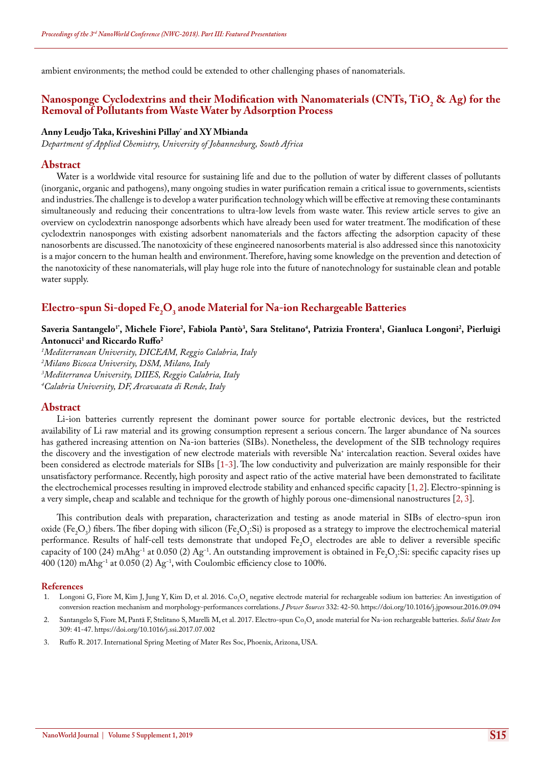ambient environments; the method could be extended to other challenging phases of nanomaterials.

# Nanosponge Cyclodextrins and their Modification with Nanomaterials (CNTs, TiO<sub>2</sub> & Ag) for the **Removal of Pollutants from Waste Water by Adsorption Process**

## **Anny Leudjo Taka, Kriveshini Pillay\* and XY Mbianda**

*Department of Applied Chemistry, University of Johannesburg, South Africa*

#### **Abstract**

Water is a worldwide vital resource for sustaining life and due to the pollution of water by different classes of pollutants (inorganic, organic and pathogens), many ongoing studies in water purification remain a critical issue to governments, scientists and industries. The challenge is to develop a water purification technology which will be effective at removing these contaminants simultaneously and reducing their concentrations to ultra-low levels from waste water. This review article serves to give an overview on cyclodextrin nanosponge adsorbents which have already been used for water treatment. The modification of these cyclodextrin nanosponges with existing adsorbent nanomaterials and the factors affecting the adsorption capacity of these nanosorbents are discussed. The nanotoxicity of these engineered nanosorbents material is also addressed since this nanotoxicity is a major concern to the human health and environment. Therefore, having some knowledge on the prevention and detection of the nanotoxicity of these nanomaterials, will play huge role into the future of nanotechnology for sustainable clean and potable water supply.

# **Electro-spun Si-doped Fe2 O3 anode Material for Na-ion Rechargeable Batteries**

## $S$ averia Santangelo<sup>1</sup>', Michele Fiore<sup>2</sup>, Fabiola Pantò<sup>3</sup>, Sara Stelitano<sup>4</sup>, Patrizia Frontera<sup>1</sup>, Gianluca Longoni<sup>2</sup>, Pierluigi **Antonucci1 and Riccardo Ruffo2**

 *Mediterranean University, DICEAM, Reggio Calabria, Italy Milano Bicocca University, DSM, Milano, Italy Mediterranea University, DIIES, Reggio Calabria, Italy Calabria University, DF, Arcavacata di Rende, Italy*

#### **Abstract**

Li-ion batteries currently represent the dominant power source for portable electronic devices, but the restricted availability of Li raw material and its growing consumption represent a serious concern. The larger abundance of Na sources has gathered increasing attention on Na-ion batteries (SIBs). Nonetheless, the development of the SIB technology requires the discovery and the investigation of new electrode materials with reversible Na+ intercalation reaction. Several oxides have been considered as electrode materials for SIBs [1-3]. The low conductivity and pulverization are mainly responsible for their unsatisfactory performance. Recently, high porosity and aspect ratio of the active material have been demonstrated to facilitate the electrochemical processes resulting in improved electrode stability and enhanced specific capacity [1, 2]. Electro-spinning is a very simple, cheap and scalable and technique for the growth of highly porous one-dimensional nanostructures [2, 3].

This contribution deals with preparation, characterization and testing as anode material in SIBs of electro-spun iron oxide (Fe<sub>2</sub>O<sub>3</sub>) fibers. The fiber doping with silicon (Fe<sub>2</sub>O<sub>3</sub>:Si) is proposed as a strategy to improve the electrochemical material performance. Results of half-cell tests demonstrate that undoped  $Fe<sub>2</sub>O<sub>3</sub>$  electrodes are able to deliver a reversible specific capacity of 100 (24) mAhg<sup>−1</sup> at 0.050 (2) Ag<sup>−1</sup>. An outstanding improvement is obtained in Fe<sub>2</sub>O<sub>3</sub>:Si: specific capacity rises up 400 (120) mAhg−1 at 0.050 (2) Ag−1, with Coulombic efficiency close to 100%.

- 1. Longoni G, Fiore M, Kim J, Jung Y, Kim D, et al. 2016. Co<sub>3</sub>O<sub>4</sub> negative electrode material for rechargeable sodium ion batteries: An investigation of [conversion reaction mechanism and morphology-performances correlations.](https://www.sciencedirect.com/science/article/pii/S0378775316312642) *J Power Sources* 332: 42-50. <https://doi.org/10.1016/j.jpowsour.2016.09.094>
- 2. Santangelo S, Fiore M, Pantã F, Stelitano S, Marelli M, et al. 2017. Electro-spun Co<sub>3</sub>O<sub>4</sub> anode material for Na-ion rechargeable batteries. *Solid State Ion* [309: 41-47.](https://www.sciencedirect.com/science/article/abs/pii/S0167273817303193) <https://doi.org/10.1016/j.ssi.2017.07.002>
- 3. Ruffo R. 2017. International Spring Meeting of Mater Res Soc, Phoenix, Arizona, USA.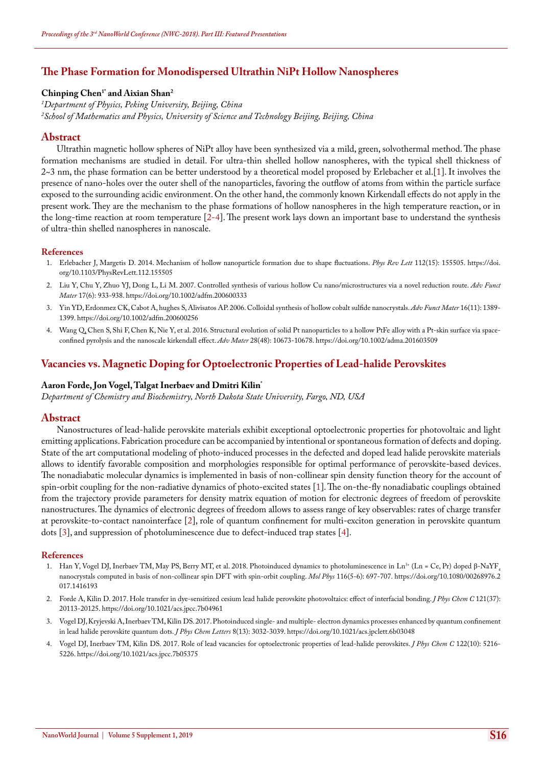# **The Phase Formation for Monodispersed Ultrathin NiPt Hollow Nanospheres**

#### **Chinping Chen1\* and Aixian Shan2**

*1 Department of Physics, Peking University, Beijing, China 2 School of Mathematics and Physics, University of Science and Technology Beijing, Beijing, China*

#### **Abstract**

Ultrathin magnetic hollow spheres of NiPt alloy have been synthesized via a mild, green, solvothermal method. The phase formation mechanisms are studied in detail. For ultra-thin shelled hollow nanospheres, with the typical shell thickness of 2~3 nm, the phase formation can be better understood by a theoretical model proposed by Erlebacher et al.[1]. It involves the presence of nano-holes over the outer shell of the nanoparticles, favoring the outflow of atoms from within the particle surface exposed to the surrounding acidic environment. On the other hand, the commonly known Kirkendall effects do not apply in the present work. They are the mechanism to the phase formations of hollow nanospheres in the high temperature reaction, or in the long-time reaction at room temperature [2-4]. The present work lays down an important base to understand the synthesis of ultra-thin shelled nanospheres in nanoscale.

#### **References**

- 1. [Erlebacher J, Margetis D. 2014. Mechanism of hollow nanoparticle formation due to shape fluctuations.](https://www.ncbi.nlm.nih.gov/pubmed/24785053) *Phys Rev Lett* 112(15): 155505. [https://doi.](https://doi.org/10.1103/PhysRevLett.112.155505) [org/10.1103/PhysRevLett.112.155505](https://doi.org/10.1103/PhysRevLett.112.155505)
- 2. [Liu Y, Chu Y, Zhuo YJ, Dong L, Li M. 2007. Controlled synthesis of various hollow Cu nano/microstructures via a novel reduction route.](https://onlinelibrary.wiley.com/doi/abs/10.1002/adfm.200600333) *Adv Funct Mater* [17\(6\): 933-938.](https://onlinelibrary.wiley.com/doi/abs/10.1002/adfm.200600333) <https://doi.org/10.1002/adfm.200600333>
- 3. [Yin YD, Erdonmez CK, Cabot A, hughes S, Alivisatos AP. 2006. Colloidal synthesis of hollow cobalt sulfide nanocrystals.](https://onlinelibrary.wiley.com/doi/abs/10.1002/adfm.200600256) *Adv Funct Mater* 16(11): 1389- [1399.](https://onlinelibrary.wiley.com/doi/abs/10.1002/adfm.200600256) <https://doi.org/10.1002/adfm.200600256>
- 4. [Wang Q, Chen S, Shi F, Chen K, Nie Y, et al. 2016. Structural evolution of solid Pt nanoparticles to a hollow PtFe alloy with a Pt-skin surface via space](https://www.ncbi.nlm.nih.gov/pubmed/27735091)[confined pyrolysis and the nanoscale kirkendall effect.](https://www.ncbi.nlm.nih.gov/pubmed/27735091) *Adv Mater* 28(48): 10673-10678. <https://doi.org/10.1002/adma.201603509>

# **Vacancies vs. Magnetic Doping for Optoelectronic Properties of Lead-halide Perovskites**

#### **Aaron Forde, Jon Vogel, Talgat Inerbaev and Dmitri Kilin\***

*Department of Chemistry and Biochemistry, North Dakota State University, Fargo, ND, USA*

#### **Abstract**

Nanostructures of lead-halide perovskite materials exhibit exceptional optoelectronic properties for photovoltaic and light emitting applications. Fabrication procedure can be accompanied by intentional or spontaneous formation of defects and doping. State of the art computational modeling of photo-induced processes in the defected and doped lead halide perovskite materials allows to identify favorable composition and morphologies responsible for optimal performance of perovskite-based devices. The nonadiabatic molecular dynamics is implemented in basis of non-collinear spin density function theory for the account of spin-orbit coupling for the non-radiative dynamics of photo-excited states [1]. The on-the-fly nonadiabatic couplings obtained from the trajectory provide parameters for density matrix equation of motion for electronic degrees of freedom of perovskite nanostructures. The dynamics of electronic degrees of freedom allows to assess range of key observables: rates of charge transfer at perovskite-to-contact nanointerface [2], role of quantum confinement for multi-exciton generation in perovskite quantum dots [3], and suppression of photoluminescence due to defect-induced trap states [4].

- 1. Han Y, Vogel DJ, Inerbaev TM, May PS, Berry MT, et al. 2018. Photoinduced dynamics to photoluminescence in Ln<sup>3+</sup> (Ln = Ce, Pr) doped β-NaYF<sub>4</sub> [nanocrystals computed in basis of non-collinear spin DFT with spin-orbit coupling.](https://www.tandfonline.com/doi/abs/10.1080/00268976.2017.1416193?journalCode=tmph20) *Mol Phys* 116(5-6): 697-707. [https://doi.org/10.1080/00268976.2](https://doi.org/10.1080/00268976.2017.1416193) [017.1416193](https://doi.org/10.1080/00268976.2017.1416193)
- 2. [Forde A, Kilin D. 2017. Hole transfer in dye-sensitized cesium lead halide perovskite photovoltaics: effect of interfacial bonding.](https://pubs.acs.org/doi/abs/10.1021/acs.jpcc.7b04961) *J Phys Chem C* 121(37): [20113-20125.](https://pubs.acs.org/doi/abs/10.1021/acs.jpcc.7b04961) <https://doi.org/10.1021/acs.jpcc.7b04961>
- 3. [Vogel DJ, Kryjevski A, Inerbaev TM, Kilin DS. 2017. Photoinduced single- and multiple- electron dynamics processes enhanced by quantum confinement](https://pubs.acs.org/doi/abs/10.1021/acs.jpclett.6b03048)  [in lead halide perovskite quantum dots.](https://pubs.acs.org/doi/abs/10.1021/acs.jpclett.6b03048) *J Phys Chem Letters* 8(13): 3032-3039. <https://doi.org/10.1021/acs.jpclett.6b03048>
- 4. [Vogel DJ, Inerbaev TM, Kilin DS. 2017. Role of lead vacancies for optoelectronic properties of lead-halide perovskites.](https://pubs.acs.org/doi/abs/10.1021/acs.jpcc.7b05375?src=recsys) *J Phys Chem C* 122(10): 5216- [5226.](https://pubs.acs.org/doi/abs/10.1021/acs.jpcc.7b05375?src=recsys) <https://doi.org/10.1021/acs.jpcc.7b05375>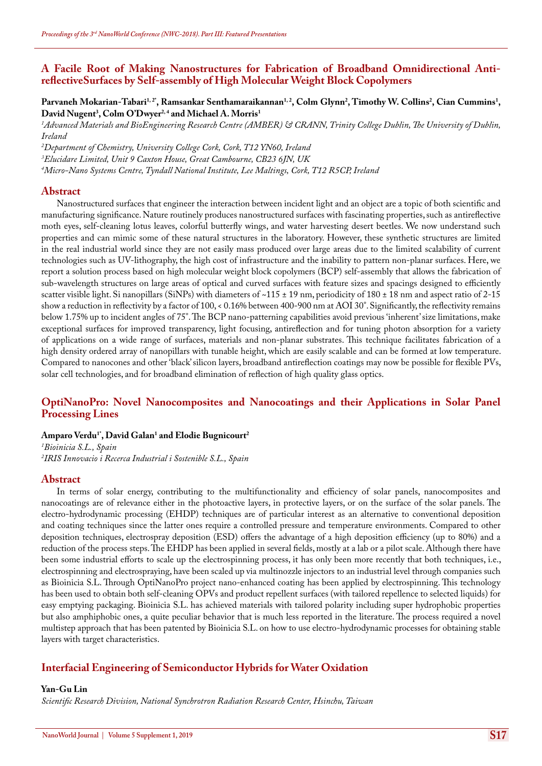# **A Facile Root of Making Nanostructures for Fabrication of Broadband Omnidirectional AntireflectiveSurfaces by Self-assembly of High Molecular Weight Block Copolymers**

Parvaneh Mokarian-Tabari<sup>1, 2</sup>', Ramsankar Senthamaraikannan<sup>1, 2</sup>, Colm Glynn<sup>2</sup>, Timothy W. Collins<sup>2</sup>, Cian Cummins<sup>1</sup>, **David Nugent3 , Colm O'Dwyer2, 4 and Michael A. Morris1**

*1 Advanced Materials and BioEngineering Research Centre (AMBER) & CRANN, Trinity College Dublin, The University of Dublin, Ireland*

*2 Department of Chemistry, University College Cork, Cork, T12 YN60, Ireland 3 Elucidare Limited, Unit 9 Caxton House, Great Cambourne, CB23 6JN, UK*

*4 Micro-Nano Systems Centre, Tyndall National Institute, Lee Maltings, Cork, T12 R5CP, Ireland*

#### **Abstract**

Nanostructured surfaces that engineer the interaction between incident light and an object are a topic of both scientific and manufacturing significance. Nature routinely produces nanostructured surfaces with fascinating properties, such as antireflective moth eyes, self-cleaning lotus leaves, colorful butterfly wings, and water harvesting desert beetles. We now understand such properties and can mimic some of these natural structures in the laboratory. However, these synthetic structures are limited in the real industrial world since they are not easily mass produced over large areas due to the limited scalability of current technologies such as UV-lithography, the high cost of infrastructure and the inability to pattern non-planar surfaces. Here, we report a solution process based on high molecular weight block copolymers (BCP) self-assembly that allows the fabrication of sub-wavelength structures on large areas of optical and curved surfaces with feature sizes and spacings designed to efficiently scatter visible light. Si nanopillars (SiNPs) with diameters of ~115 ± 19 nm, periodicity of 180 ± 18 nm and aspect ratio of 2-15 show a reduction in reflectivity by a factor of 100, < 0.16% between 400-900 nm at AOI 30°. Significantly, the reflectivity remains below 1.75% up to incident angles of 75°. The BCP nano-patterning capabilities avoid previous 'inherent' size limitations, make exceptional surfaces for improved transparency, light focusing, antireflection and for tuning photon absorption for a variety of applications on a wide range of surfaces, materials and non-planar substrates. This technique facilitates fabrication of a high density ordered array of nanopillars with tunable height, which are easily scalable and can be formed at low temperature. Compared to nanocones and other 'black' silicon layers, broadband antireflection coatings may now be possible for flexible PVs, solar cell technologies, and for broadband elimination of reflection of high quality glass optics.

# **OptiNanoPro: Novel Nanocomposites and Nanocoatings and their Applications in Solar Panel Processing Lines**

## **Amparo Verdu1\*, David Galan1 and Elodie Bugnicourt2**

*1 Bioinicia S.L., Spain 2 IRIS Innovacio i Recerca Industrial i Sostenible S.L., Spain*

#### **Abstract**

In terms of solar energy, contributing to the multifunctionality and efficiency of solar panels, nanocomposites and nanocoatings are of relevance either in the photoactive layers, in protective layers, or on the surface of the solar panels. The electro-hydrodynamic processing (EHDP) techniques are of particular interest as an alternative to conventional deposition and coating techniques since the latter ones require a controlled pressure and temperature environments. Compared to other deposition techniques, electrospray deposition (ESD) offers the advantage of a high deposition efficiency (up to 80%) and a reduction of the process steps. The EHDP has been applied in several fields, mostly at a lab or a pilot scale. Although there have been some industrial efforts to scale up the electrospinning process, it has only been more recently that both techniques, i.e., electrospinning and electrospraying, have been scaled up via multinozzle injectors to an industrial level through companies such as Bioinicia S.L. Through OptiNanoPro project nano-enhanced coating has been applied by electrospinning. This technology has been used to obtain both self-cleaning OPVs and product repellent surfaces (with tailored repellence to selected liquids) for easy emptying packaging. Bioinicia S.L. has achieved materials with tailored polarity including super hydrophobic properties but also amphiphobic ones, a quite peculiar behavior that is much less reported in the literature. The process required a novel multistep approach that has been patented by Bioinicia S.L. on how to use electro-hydrodynamic processes for obtaining stable layers with target characteristics.

## **Interfacial Engineering of Semiconductor Hybrids for Water Oxidation**

#### **Yan-Gu Lin**

*Scientific Research Division, National Synchrotron Radiation Research Center, Hsinchu, Taiwan*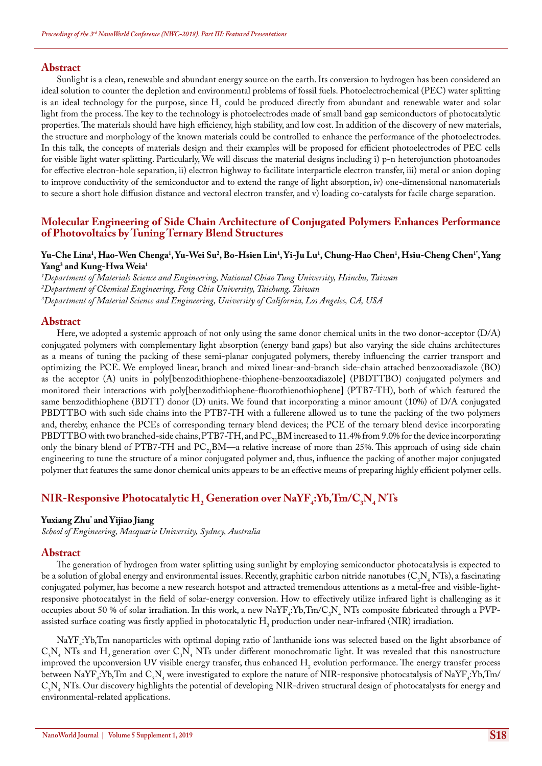Sunlight is a clean, renewable and abundant energy source on the earth. Its conversion to hydrogen has been considered an ideal solution to counter the depletion and environmental problems of fossil fuels. Photoelectrochemical (PEC) water splitting is an ideal technology for the purpose, since  $H_2$  could be produced directly from abundant and renewable water and solar light from the process. The key to the technology is photoelectrodes made of small band gap semiconductors of photocatalytic properties. The materials should have high efficiency, high stability, and low cost. In addition of the discovery of new materials, the structure and morphology of the known materials could be controlled to enhance the performance of the photoelectrodes. In this talk, the concepts of materials design and their examples will be proposed for efficient photoelectrodes of PEC cells for visible light water splitting. Particularly, We will discuss the material designs including i) p-n heterojunction photoanodes for effective electron-hole separation, ii) electron highway to facilitate interparticle electron transfer, iii) metal or anion doping to improve conductivity of the semiconductor and to extend the range of light absorption, iv) one-dimensional nanomaterials to secure a short hole diffusion distance and vectoral electron transfer, and v) loading co-catalysts for facile charge separation.

# **Molecular Engineering of Side Chain Architecture of Conjugated Polymers Enhances Performance of Photovoltaics by Tuning Ternary Blend Structures**

## **Yu-Che Lina1 , Hao-Wen Chenga1 , Yu-Wei Su2 , Bo-Hsien Lin1 , Yi-Ju Lu1 , Chung-Hao Chen1 , Hsiu-Cheng Chen1\*, Yang Yang3 and Kung-Hwa Weia1**

*1 Department of Materials Science and Engineering, National Chiao Tung University, Hsinchu, Taiwan*

*2 Department of Chemical Engineering, Feng Chia University, Taichung, Taiwan*

*3 Department of Material Science and Engineering, University of California, Los Angeles, CA, USA*

#### **Abstract**

Here, we adopted a systemic approach of not only using the same donor chemical units in the two donor-acceptor (D/A) conjugated polymers with complementary light absorption (energy band gaps) but also varying the side chains architectures as a means of tuning the packing of these semi-planar conjugated polymers, thereby influencing the carrier transport and optimizing the PCE. We employed linear, branch and mixed linear-and-branch side-chain attached benzooxadiazole (BO) as the acceptor (A) units in poly[benzodithiophene-thiophene-benzooxadiazole] (PBDTTBO) conjugated polymers and monitored their interactions with poly[benzodithiophene-fluorothienothiophene] (PTB7-TH), both of which featured the same benzodithiophene (BDTT) donor (D) units. We found that incorporating a minor amount (10%) of D/A conjugated PBDTTBO with such side chains into the PTB7-TH with a fullerene allowed us to tune the packing of the two polymers and, thereby, enhance the PCEs of corresponding ternary blend devices; the PCE of the ternary blend device incorporating PBDTTBO with two branched-side chains, PTB7-TH, and PC<sub>71</sub>BM increased to 11.4% from 9.0% for the device incorporating only the binary blend of PTB7-TH and  $PC_{7}$ BM—a relative increase of more than 25%. This approach of using side chain engineering to tune the structure of a minor conjugated polymer and, thus, influence the packing of another major conjugated polymer that features the same donor chemical units appears to be an effective means of preparing highly efficient polymer cells.

# $NIR$ - $\rm{Responsive}$   $\rm{Photocatalytic}$   $H_{\rm{2}}$   $\rm{Generation}$  over  $\rm{NaYF}_{\rm{4}}$ : $\rm{Yb}, \rm{Im/C}_{\rm{3}}$  $N_{\rm{4}}$   $\rm{NTs}$

#### **Yuxiang Zhu\* and Yijiao Jiang**

*School of Engineering, Macquarie University, Sydney, Australia*

#### **Abstract**

The generation of hydrogen from water splitting using sunlight by employing semiconductor photocatalysis is expected to be a solution of global energy and environmental issues. Recently, graphitic carbon nitride nanotubes (C<sub>3</sub>N<sub>4</sub> NTs), a fascinating conjugated polymer, has become a new research hotspot and attracted tremendous attentions as a metal-free and visible-lightresponsive photocatalyst in the field of solar-energy conversion. How to effectively utilize infrared light is challenging as it occupies about 50 % of solar irradiation. In this work, a new  $\text{NaYF}_4$ :Yb,Tm/C<sub>3</sub>N<sub>4</sub> NTs composite fabricated through a PVPassisted surface coating was firstly applied in photocatalytic  ${\rm H_2}$  production under near-infrared (NIR) irradiation.

NaYF4 :Yb,Tm nanoparticles with optimal doping ratio of lanthanide ions was selected based on the light absorbance of  $C_3N_4$  NTs and H<sub>2</sub> generation over  $C_3N_4$  NTs under different monochromatic light. It was revealed that this nanostructure improved the upconversion UV visible energy transfer, thus enhanced  $H_2$  evolution performance. The energy transfer process between NaYF<sub>4</sub>:Yb,Tm and C<sub>3</sub>N<sub>4</sub> were investigated to explore the nature of NIR-responsive photocatalysis of NaYF<sub>4</sub>:Yb,Tm/  $C_3N_4$  NTs. Our discovery highlights the potential of developing NIR-driven structural design of photocatalysts for energy and environmental-related applications.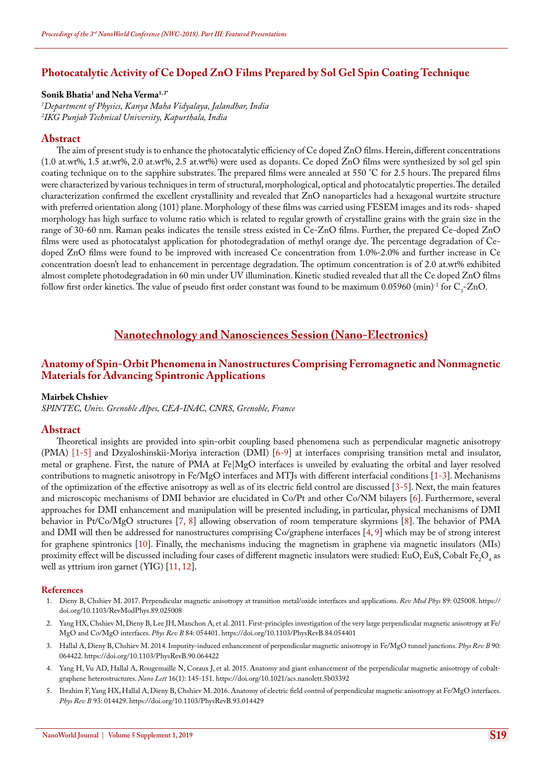# **Photocatalytic Activity of Ce Doped ZnO Films Prepared by Sol Gel Spin Coating Technique**

## **Sonik Bhatia1 and Neha Verma1, 2\***

*1 Department of Physics, Kanya Maha Vidyalaya, Jalandhar, India 2 IKG Punjab Technical University, Kapurthala, India*

#### **Abstract**

The aim of present study is to enhance the photocatalytic efficiency of Ce doped ZnO films. Herein, different concentrations (1.0 at.wt%, 1.5 at.wt%, 2.0 at.wt%, 2.5 at.wt%) were used as dopants. Ce doped ZnO films were synthesized by sol gel spin coating technique on to the sapphire substrates. The prepared films were annealed at 550 °C for 2.5 hours. The prepared films were characterized by various techniques in term of structural, morphological, optical and photocatalytic properties. The detailed characterization confirmed the excellent crystallinity and revealed that ZnO nanoparticles had a hexagonal wurtzite structure with preferred orientation along (101) plane. Morphology of these films was carried using FESEM images and its rods- shaped morphology has high surface to volume ratio which is related to regular growth of crystalline grains with the grain size in the range of 30-60 nm. Raman peaks indicates the tensile stress existed in Ce-ZnO films. Further, the prepared Ce-doped ZnO films were used as photocatalyst application for photodegradation of methyl orange dye. The percentage degradation of Cedoped ZnO films were found to be improved with increased Ce concentration from 1.0%-2.0% and further increase in Ce concentration doesn't lead to enhancement in percentage degradation. The optimum concentration is of 2.0 at.wt% exhibited almost complete photodegradation in 60 min under UV illumination. Kinetic studied revealed that all the Ce doped ZnO films follow first order kinetics. The value of pseudo first order constant was found to be maximum  $0.05960$  (min) $^{\text{-1}}$  for  $\text{C}_3\text{-} \text{ZnO}$ .

# **Nanotechnology and Nanosciences Session (Nano-Electronics)**

## **Anatomy of Spin-Orbit Phenomena in Nanostructures Comprising Ferromagnetic and Nonmagnetic Materials for Advancing Spintronic Applications**

#### **Mairbek Chshiev**

*SPINTEC, Univ. Grenoble Alpes, CEA-INAC, CNRS, Grenoble, France*

#### **Abstract**

Theoretical insights are provided into spin-orbit coupling based phenomena such as perpendicular magnetic anisotropy (PMA) [1-5] and Dzyaloshinskii-Moriya interaction (DMI) [6-9] at interfaces comprising transition metal and insulator, metal or graphene. First, the nature of PMA at  $Fe | MgO$  interfaces is unveiled by evaluating the orbital and layer resolved contributions to magnetic anisotropy in Fe/MgO interfaces and MTJs with different interfacial conditions [1-3]. Mechanisms of the optimization of the effective anisotropy as well as of its electric field control are discussed [3-5]. Next, the main features and microscopic mechanisms of DMI behavior are elucidated in Co/Pt and other Co/NM bilayers [6]. Furthermore, several approaches for DMI enhancement and manipulation will be presented including, in particular, physical mechanisms of DMI behavior in Pt/Co/MgO structures [7, 8] allowing observation of room temperature skyrmions [8]. The behavior of PMA and DMI will then be addressed for nanostructures comprising Co/graphene interfaces [4, 9] which may be of strong interest for graphene spintronics [10]. Finally, the mechanisms inducing the magnetism in graphene via magnetic insulators (MIs) proximity effect will be discussed including four cases of different magnetic insulators were studied: EuO, EuS, Cobalt Fe<sub>2</sub>O<sub>4</sub> as well as yttrium iron garnet (YIG) [11, 12].

- 1. [Dieny B, Chshiev M. 2017. Perpendicular magnetic anisotropy at transition metal/oxide interfaces and applications.](https://journals.aps.org/rmp/abstract/10.1103/RevModPhys.89.025008) *Rev Mod Phys* 89: 025008. [https://](https://doi.org/10.1103/RevModPhys.89.025008) [doi.org/10.1103/RevModPhys.89.025008](https://doi.org/10.1103/RevModPhys.89.025008)
- 2. [Yang HX, Chshiev M, Dieny B, Lee JH, Manchon A, et al. 2011. First-principles investigation of the very large perpendicular magnetic anisotropy at Fe/](https://journals.aps.org/prb/abstract/10.1103/PhysRevB.84.054401) [MgO and Co/MgO interfaces.](https://journals.aps.org/prb/abstract/10.1103/PhysRevB.84.054401) *Phys Rev B* 84: 054401. <https://doi.org/10.1103/PhysRevB.84.054401>
- 3. [Hallal A, Dieny B, Chshiev M. 2014. Impurity-induced enhancement of perpendicular magnetic anisotropy in Fe/MgO tunnel junctions.](https://journals.aps.org/prb/abstract/10.1103/PhysRevB.90.064422) *Phys Rev B* 90: [064422.](https://journals.aps.org/prb/abstract/10.1103/PhysRevB.90.064422) <https://doi.org/10.1103/PhysRevB.90.064422>
- 4. [Yang H, Vu AD, Hallal A, Rougemaille N, Coraux J, et al. 2015. Anatomy and giant enhancement of the perpendicular magnetic anisotropy of cobalt](https://pubs.acs.org/doi/abs/10.1021/acs.nanolett.5b03392)[graphene heterostructures.](https://pubs.acs.org/doi/abs/10.1021/acs.nanolett.5b03392) *Nano Lett* 16(1): 145-151. <https://doi.org/10.1021/acs.nanolett.5b03392>
- 5. [Ibrahim F, Yang HX, Hallal A, Dieny B, Chshiev M. 2016. Anatomy of electric field control of perpendicular magnetic anisotropy at Fe/MgO interfaces.](https://journals.aps.org/prb/abstract/10.1103/PhysRevB.93.014429)  *Phys Rev B* [93: 014429.](https://journals.aps.org/prb/abstract/10.1103/PhysRevB.93.014429) <https://doi.org/10.1103/PhysRevB.93.014429>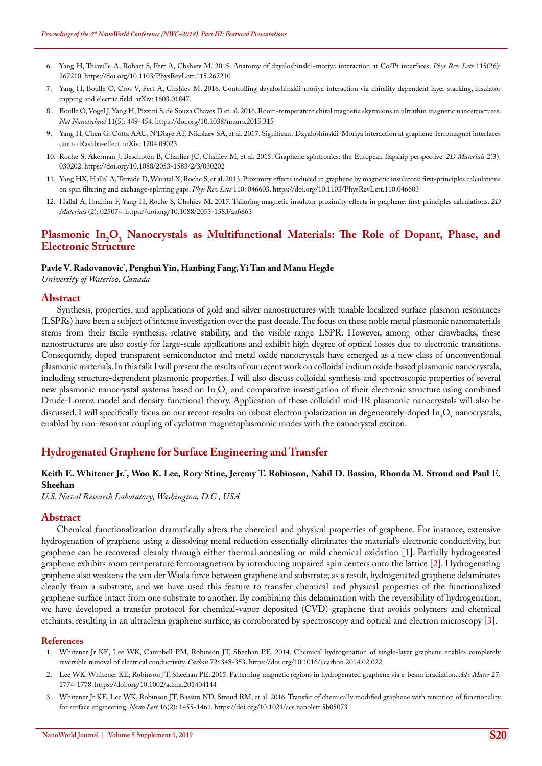- 6. [Yang H, Thiaville A, Rohart S, Fert A, Chshiev M. 2015. Anatomy of dzyaloshinskii-moriya interaction at Co/Pt interfaces.](https://journals.aps.org/prl/abstract/10.1103/PhysRevLett.115.267210) *Phys Rev Lett* 115(26): [267210.](https://journals.aps.org/prl/abstract/10.1103/PhysRevLett.115.267210) <https://doi.org/10.1103/PhysRevLett.115.267210>
- 7. [Yang H, Boulle O, Cros V, Fert A, Chshiev M. 2016. Controlling dzyaloshinskii-moriya interaction via chirality dependent layer stacking, insulator](https://arxiv.org/abs/1603.01847)  [capping and electric field. arXiv: 1603.01847.](https://arxiv.org/abs/1603.01847)
- 8. [Boulle O, Vogel J, Yang H, Pizzini S, de Souza Chaves D et. al. 2016. Room-temperature chiral magnetic skyrmions in ultrathin magnetic nanostructures.](https://www.ncbi.nlm.nih.gov/pubmed/26809057)  *Nat Nanotechnol* [11\(5\): 449-454.](https://www.ncbi.nlm.nih.gov/pubmed/26809057) <https://doi.org/10.1038/nnano.2015.315>
- 9. [Yang H, Chen G, Cotta AAC, N'Diaye AT, Nikolaev SA, et al. 2017. Significant Dzyaloshinskii-Moriya interaction at graphene-ferromagnet interfaces](https://arxiv.org/abs/1704.09023)  [due to Rashba-effect. arXiv: 1704.09023.](https://arxiv.org/abs/1704.09023)
- 10. [Roche S, Åkerman J, Beschoten B, Charlier JC, Chshiev M, et al. 2015. Graphene spintronics: the European flagship perspective.](http://iopscience.iop.org/article/10.1088/2053-1583/2/3/030202) *2D Materials* 2(3): [030202.](http://iopscience.iop.org/article/10.1088/2053-1583/2/3/030202) <https://doi.org/10.1088/2053-1583/2/3/030202>
- 11. [Yang HX, Hallal A, Terrade D, Waintal X, Roche S, et al. 2013. Proximity effects induced in graphene by magnetic insulators: first-principles calculations](https://journals.aps.org/prl/abstract/10.1103/PhysRevLett.110.046603)  [on spin filtering and exchange-splitting gaps.](https://journals.aps.org/prl/abstract/10.1103/PhysRevLett.110.046603) *Phys Rev Lett* 110: 046603. <https://doi.org/10.1103/PhysRevLett.110.046603>
- 12. [Hallal A, Ibrahim F, Yang H, Roche S, Chshiev M. 2017. Tailoring magnetic insulator proximity effects in graphene: first-principles calculations.](http://iopscience.iop.org/article/10.1088/2053-1583/aa6663) *2D Materials* [\(2\): 025074.](http://iopscience.iop.org/article/10.1088/2053-1583/aa6663) <https://doi.org/10.1088/2053-1583/aa6663>

## Plasmonic In<sub>2</sub>O<sub>3</sub> Nanocrystals as Multifunctional Materials: The Role of Dopant, Phase, and **Electronic Structure**

## **Pavle V. Radovanovic\* , Penghui Yin, Hanbing Fang, Yi Tan and Manu Hegde**

*University of Waterloo, Canada*

#### **Abstract**

Synthesis, properties, and applications of gold and silver nanostructures with tunable localized surface plasmon resonances (LSPRs) have been a subject of intense investigation over the past decade. The focus on these noble metal plasmonic nanomaterials stems from their facile synthesis, relative stability, and the visible-range LSPR. However, among other drawbacks, these nanostructures are also costly for large-scale applications and exhibit high degree of optical losses due to electronic transitions. Consequently, doped transparent semiconductor and metal oxide nanocrystals have emerged as a new class of unconventional plasmonic materials. In this talk I will present the results of our recent work on colloidal indium oxide-based plasmonic nanocrystals, including structure-dependent plasmonic properties. I will also discuss colloidal synthesis and spectroscopic properties of several new plasmonic nanocrystal systems based on  $In_2O_3$  and comparative investigation of their electronic structure using combined Drude-Lorenz model and density functional theory. Application of these colloidal mid-IR plasmonic nanocrystals will also be discussed. I will specifically focus on our recent results on robust electron polarization in degenerately-doped  $\ln_2\Omega_3$  nanocrystals, enabled by non-resonant coupling of cyclotron magnetoplasmonic modes with the nanocrystal exciton.

## **Hydrogenated Graphene for Surface Engineering and Transfer**

#### **Keith E. Whitener Jr.\* , Woo K. Lee, Rory Stine, Jeremy T. Robinson, Nabil D. Bassim, Rhonda M. Stroud and Paul E. Sheehan**

*U.S. Naval Research Laboratory, Washington, D.C., USA*

#### **Abstract**

Chemical functionalization dramatically alters the chemical and physical properties of graphene. For instance, extensive hydrogenation of graphene using a dissolving metal reduction essentially eliminates the material's electronic conductivity, but graphene can be recovered cleanly through either thermal annealing or mild chemical oxidation [1]. Partially hydrogenated graphene exhibits room temperature ferromagnetism by introducing unpaired spin centers onto the lattice [2]. Hydrogenating graphene also weakens the van der Waals force between graphene and substrate; as a result, hydrogenated graphene delaminates cleanly from a substrate, and we have used this feature to transfer chemical and physical properties of the functionalized graphene surface intact from one substrate to another. By combining this delamination with the reversibility of hydrogenation, we have developed a transfer protocol for chemical-vapor deposited (CVD) graphene that avoids polymers and chemical etchants, resulting in an ultraclean graphene surface, as corroborated by spectroscopy and optical and electron microscopy [3].

- 1. [Whitener Jr KE, Lee WK, Campbell PM, Robinson JT, Sheehan PE. 2014. Chemical hydrogenation of single-layer graphene enables completely](https://www.sciencedirect.com/science/article/pii/S0008622314001493)  [reversible removal of electrical conductivity.](https://www.sciencedirect.com/science/article/pii/S0008622314001493) *Carbon* 72: 348-353. <https://doi.org/10.1016/j.carbon.2014.02.022>
- 2. [Lee WK, Whitener KE, Robinson JT, Sheehan PE. 2015. Patterning magnetic regions in hydrogenated graphene via e-beam irradiation.](https://www.ncbi.nlm.nih.gov/pubmed/25594531) *Adv Mater* 27: [1774-1778.](https://www.ncbi.nlm.nih.gov/pubmed/25594531) <https://doi.org/10.1002/adma.201404144>
- 3. [Whitener Jr KE, Lee WK, Robinson JT, Bassim ND, Stroud RM, et al. 2016. Transfer of chemically modified graphene with retention of functionality](https://pubs.acs.org/doi/10.1021/acs.nanolett.5b05073)  [for surface engineering.](https://pubs.acs.org/doi/10.1021/acs.nanolett.5b05073) *Nano Lett* 16(2): 1455-1461. <https://doi.org/10.1021/acs.nanolett.5b05073>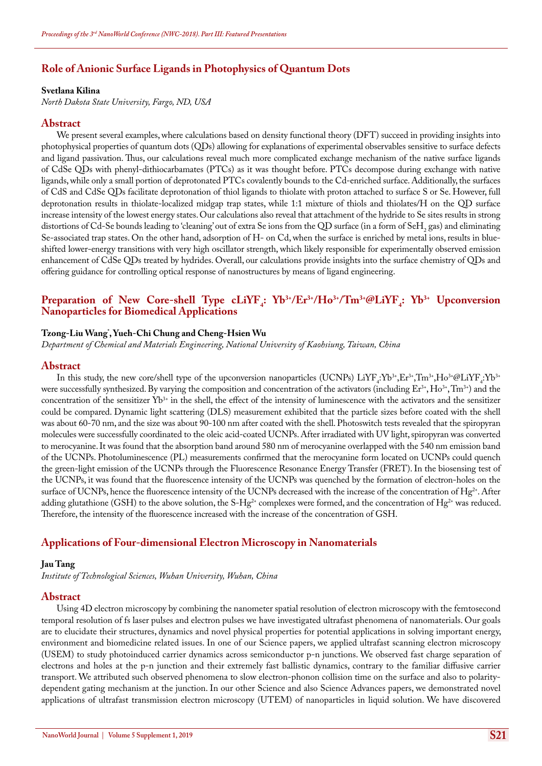# **Role of Anionic Surface Ligands in Photophysics of Quantum Dots**

#### **Svetlana Kilina**

*North Dakota State University, Fargo, ND, USA*

### **Abstract**

We present several examples, where calculations based on density functional theory (DFT) succeed in providing insights into photophysical properties of quantum dots (QDs) allowing for explanations of experimental observables sensitive to surface defects and ligand passivation. Thus, our calculations reveal much more complicated exchange mechanism of the native surface ligands of CdSe QDs with phenyl-dithiocarbamates (PTCs) as it was thought before. PTCs decompose during exchange with native ligands, while only a small portion of deprotonated PTCs covalently bounds to the Cd-enriched surface. Additionally, the surfaces of CdS and CdSe QDs facilitate deprotonation of thiol ligands to thiolate with proton attached to surface S or Se. However, full deprotonation results in thiolate-localized midgap trap states, while 1:1 mixture of thiols and thiolates/H on the QD surface increase intensity of the lowest energy states. Our calculations also reveal that attachment of the hydride to Se sites results in strong distortions of Cd-Se bounds leading to 'cleaning' out of extra Se ions from the QD surface (in a form of SeH<sub>2</sub> gas) and eliminating Se-associated trap states. On the other hand, adsorption of H- on Cd, when the surface is enriched by metal ions, results in blueshifted lower-energy transitions with very high oscillator strength, which likely responsible for experimentally observed emission enhancement of CdSe QDs treated by hydrides. Overall, our calculations provide insights into the surface chemistry of QDs and offering guidance for controlling optical response of nanostructures by means of ligand engineering.

# Preparation of New Core-shell Type cLiYF<sub>4</sub>: Yb<sup>3+</sup>/Er<sup>3+</sup>/Ho<sup>3+</sup>/Tm<sup>3+</sup>@LiYF<sub>4</sub>: Yb<sup>3+</sup> Upconversion **Nanoparticles for Biomedical Applications**

#### **Tzong-Liu Wang\* , Yueh-Chi Chung and Cheng-Hsien Wu**

*Department of Chemical and Materials Engineering, National University of Kaohsiung, Taiwan, China*

#### **Abstract**

In this study, the new core/shell type of the upconversion nanoparticles (UCNPs)  $LiYF_4:Yb^3+Er^3+Tm^3+Ho^3+@LiYF_4:Yb^3+$ were successfully synthesized. By varying the composition and concentration of the activators (including Er<sup>3+</sup>, Ho<sup>3+</sup>, Tm<sup>3+</sup>) and the concentration of the sensitizer  $Yb^{3+}$  in the shell, the effect of the intensity of luminescence with the activators and the sensitizer could be compared. Dynamic light scattering (DLS) measurement exhibited that the particle sizes before coated with the shell was about 60-70 nm, and the size was about 90-100 nm after coated with the shell. Photoswitch tests revealed that the spiropyran molecules were successfully coordinated to the oleic acid-coated UCNPs. After irradiated with UV light, spiropyran was converted to merocyanine. It was found that the absorption band around 580 nm of merocyanine overlapped with the 540 nm emission band of the UCNPs. Photoluminescence (PL) measurements confirmed that the merocyanine form located on UCNPs could quench the green-light emission of the UCNPs through the Fluorescence Resonance Energy Transfer (FRET). In the biosensing test of the UCNPs, it was found that the fluorescence intensity of the UCNPs was quenched by the formation of electron-holes on the surface of UCNPs, hence the fluorescence intensity of the UCNPs decreased with the increase of the concentration of Hg<sup>2+</sup>. After adding glutathione (GSH) to the above solution, the S-Hg<sup>2+</sup> complexes were formed, and the concentration of Hg<sup>2+</sup> was reduced. Therefore, the intensity of the fluorescence increased with the increase of the concentration of GSH.

## **Applications of Four-dimensional Electron Microscopy in Nanomaterials**

#### **Jau Tang**

*Institute of Technological Sciences, Wuhan University, Wuhan, China*

#### **Abstract**

Using 4D electron microscopy by combining the nanometer spatial resolution of electron microscopy with the femtosecond temporal resolution of fs laser pulses and electron pulses we have investigated ultrafast phenomena of nanomaterials. Our goals are to elucidate their structures, dynamics and novel physical properties for potential applications in solving important energy, environment and biomedicine related issues. In one of our Science papers, we applied ultrafast scanning electron microscopy (USEM) to study photoinduced carrier dynamics across semiconductor p-n junctions. We observed fast charge separation of electrons and holes at the p-n junction and their extremely fast ballistic dynamics, contrary to the familiar diffusive carrier transport. We attributed such observed phenomena to slow electron-phonon collision time on the surface and also to polaritydependent gating mechanism at the junction. In our other Science and also Science Advances papers, we demonstrated novel applications of ultrafast transmission electron microscopy (UTEM) of nanoparticles in liquid solution. We have discovered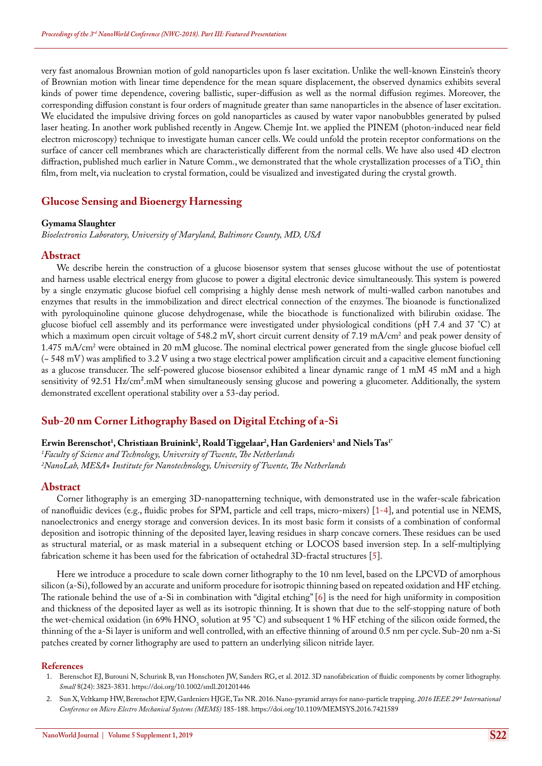very fast anomalous Brownian motion of gold nanoparticles upon fs laser excitation. Unlike the well-known Einstein's theory of Brownian motion with linear time dependence for the mean square displacement, the observed dynamics exhibits several kinds of power time dependence, covering ballistic, super-diffusion as well as the normal diffusion regimes. Moreover, the corresponding diffusion constant is four orders of magnitude greater than same nanoparticles in the absence of laser excitation. We elucidated the impulsive driving forces on gold nanoparticles as caused by water vapor nanobubbles generated by pulsed laser heating. In another work published recently in Angew. Chemje Int. we applied the PINEM (photon-induced near field electron microscopy) technique to investigate human cancer cells. We could unfold the protein receptor conformations on the surface of cancer cell membranes which are characteristically different from the normal cells. We have also used 4D electron diffraction, published much earlier in Nature Comm., we demonstrated that the whole crystallization processes of a  $TiO_2$  thin film, from melt, via nucleation to crystal formation, could be visualized and investigated during the crystal growth.

## **Glucose Sensing and Bioenergy Harnessing**

#### **Gymama Slaughter**

*Bioelectronics Laboratory, University of Maryland, Baltimore County, MD, USA*

#### **Abstract**

We describe herein the construction of a glucose biosensor system that senses glucose without the use of potentiostat and harness usable electrical energy from glucose to power a digital electronic device simultaneously. This system is powered by a single enzymatic glucose biofuel cell comprising a highly dense mesh network of multi-walled carbon nanotubes and enzymes that results in the immobilization and direct electrical connection of the enzymes. The bioanode is functionalized with pyroloquinoline quinone glucose dehydrogenase, while the biocathode is functionalized with bilirubin oxidase. The glucose biofuel cell assembly and its performance were investigated under physiological conditions (pH 7.4 and 37 °C) at which a maximum open circuit voltage of 548.2 mV, short circuit current density of 7.19 mA/cm<sup>2</sup> and peak power density of 1.475 mA/cm2 were obtained in 20 mM glucose. The nominal electrical power generated from the single glucose biofuel cell (~ 548 mV) was amplified to 3.2 V using a two stage electrical power amplification circuit and a capacitive element functioning as a glucose transducer. The self-powered glucose biosensor exhibited a linear dynamic range of 1 mM 45 mM and a high sensitivity of 92.51 Hz/cm<sup>2</sup>.mM when simultaneously sensing glucose and powering a glucometer. Additionally, the system demonstrated excellent operational stability over a 53-day period.

# **Sub-20 nm Corner Lithography Based on Digital Etching of a-Si**

## $\bf{E}$ rwin Berenschot<sup>1</sup>, Christiaan Bruinink<sup>2</sup>, Roald Tiggelaar<sup>2</sup>, Han Gardeniers<sup>1</sup> and Niels Tas<sup>1</sup>'

*1 Faculty of Science and Technology, University of Twente, The Netherlands 2 NanoLab, MESA+ Institute for Nanotechnology, University of Twente, The Netherlands*

## **Abstract**

Corner lithography is an emerging 3D-nanopatterning technique, with demonstrated use in the wafer-scale fabrication of nanofluidic devices (e.g., fluidic probes for SPM, particle and cell traps, micro-mixers) [1-4], and potential use in NEMS, nanoelectronics and energy storage and conversion devices. In its most basic form it consists of a combination of conformal deposition and isotropic thinning of the deposited layer, leaving residues in sharp concave corners. These residues can be used as structural material, or as mask material in a subsequent etching or LOCOS based inversion step. In a self-multiplying fabrication scheme it has been used for the fabrication of octahedral 3D-fractal structures [5].

Here we introduce a procedure to scale down corner lithography to the 10 nm level, based on the LPCVD of amorphous silicon (a-Si), followed by an accurate and uniform procedure for isotropic thinning based on repeated oxidation and HF etching. The rationale behind the use of a-Si in combination with "digital etching" [6] is the need for high uniformity in composition and thickness of the deposited layer as well as its isotropic thinning. It is shown that due to the self-stopping nature of both the wet-chemical oxidation (in 69%  $HNO_3$  solution at 95 °C) and subsequent 1 % HF etching of the silicon oxide formed, the thinning of the a-Si layer is uniform and well controlled, with an effective thinning of around 0.5 nm per cycle. Sub-20 nm a-Si patches created by corner lithography are used to pattern an underlying silicon nitride layer.

- 1. [Berenschot EJ, Burouni N, Schurink B, van Honschoten JW, Sanders RG, et al. 2012. 3D nanofabrication of fluidic components by corner lithography.](https://www.ncbi.nlm.nih.gov/pubmed/22907803)  *Small* [8\(24\): 3823-3831.](https://www.ncbi.nlm.nih.gov/pubmed/22907803) <https://doi.org/10.1002/smll.201201446>
- 2. [Sun X, Veltkamp HW, Berenschot EJW, Gardeniers HJGE, Tas NR. 2016. Nano-pyramid arrays for nano-particle trapping.](https://ieeexplore.ieee.org/document/7421589/) *2016 IEEE 29th International [Conference on Micro Electro Mechanical Systems \(MEMS\)](https://ieeexplore.ieee.org/document/7421589/)* 185-188. <https://doi.org/10.1109/MEMSYS.2016.7421589>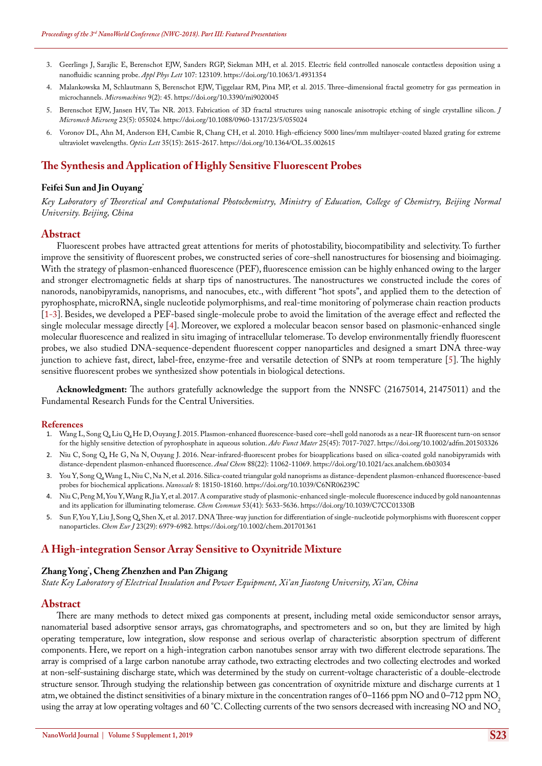- 3. [Geerlings J, Sarajlic E, Berenschot EJW, Sanders RGP, Siekman MH, et al. 2015. Electric field controlled nanoscale contactless deposition using a](https://aip.scitation.org/doi/full/10.1063/1.4931354)  [nanofluidic scanning probe.](https://aip.scitation.org/doi/full/10.1063/1.4931354) *Appl Phys Lett* 107: 123109. <https://doi.org/10.1063/1.4931354>
- 4. [Malankowska M, Schlautmann S, Berenschot EJW, Tiggelaar RM, Pina MP, et al. 2015. Three–dimensional fractal geometry for gas permeation in](http://www.mdpi.com/2072-666X/9/2/45)  [microchannels.](http://www.mdpi.com/2072-666X/9/2/45) *Micromachines* 9(2): 45. <https://doi.org/10.3390/mi9020045>
- 5. [Berenschot EJW, Jansen HV, Tas NR. 2013. Fabrication of 3D fractal structures using nanoscale anisotropic etching of single crystalline silicon.](http://iopscience.iop.org/article/10.1088/0960-1317/23/5/055024) *J [Micromech Microeng](http://iopscience.iop.org/article/10.1088/0960-1317/23/5/055024)* 23(5): 055024. <https://doi.org/10.1088/0960-1317/23/5/055024>
- 6. [Voronov DL, Ahn M, Anderson EH, Cambie R, Chang CH, et al. 2010. High-efficiency 5000 lines/mm multilayer-coated blazed grating for extreme](https://www.ncbi.nlm.nih.gov/pubmed/20680076)  [ultraviolet wavelengths.](https://www.ncbi.nlm.nih.gov/pubmed/20680076) *Optics Lett* 35(15): 2615-2617. <https://doi.org/10.1364/OL.35.002615>

# **The Synthesis and Application of Highly Sensitive Fluorescent Probes**

#### **Feifei Sun and Jin Ouyang\***

*Key Laboratory of Theoretical and Computational Photochemistry, Ministry of Education, College of Chemistry, Beijing Normal University. Beijing, China*

#### **Abstract**

Fluorescent probes have attracted great attentions for merits of photostability, biocompatibility and selectivity. To further improve the sensitivity of fluorescent probes, we constructed series of core-shell nanostructures for biosensing and bioimaging. With the strategy of plasmon-enhanced fluorescence (PEF), fluorescence emission can be highly enhanced owing to the larger and stronger electromagnetic fields at sharp tips of nanostructures. The nanostructures we constructed include the cores of nanorods, nanobipyramids, nanoprisms, and nanocubes, etc., with different "hot spots", and applied them to the detection of pyrophosphate, microRNA, single nucleotide polymorphisms, and real-time monitoring of polymerase chain reaction products [1-3]. Besides, we developed a PEF-based single-molecule probe to avoid the limitation of the average effect and reflected the single molecular message directly [4]. Moreover, we explored a molecular beacon sensor based on plasmonic-enhanced single molecular fluorescence and realized in situ imaging of intracellular telomerase. To develop environmentally friendly fluorescent probes, we also studied DNA-sequence-dependent fluorescent copper nanoparticles and designed a smart DNA three-way junction to achieve fast, direct, label-free, enzyme-free and versatile detection of SNPs at room temperature [5]. The highly sensitive fluorescent probes we synthesized show potentials in biological detections.

**Acknowledgment:** The authors gratefully acknowledge the support from the NNSFC (21675014, 21475011) and the Fundamental Research Funds for the Central Universities.

#### **References**

- 1. Wang L, Song Q, Liu Q, He D, Ouyang J. 2015. Plasmon-enhanced fluorescence-based core-shell gold nanorods as a near-IR fluorescent turn-on sensor [for the highly sensitive detection of pyrophosphate in aqueous solution.](https://onlinelibrary.wiley.com/doi/abs/10.1002/adfm.201503326) *Adv Funct Mater* 25(45): 7017-7027. <https://doi.org/10.1002/adfm.201503326>
- 2. [Niu C, Song Q, He G, Na N, Ouyang J. 2016. Near-infrared-fluorescent probes for bioapplications based on silica-coated gold nanobipyramids with](https://www.ncbi.nlm.nih.gov/pubmed/27735184)  [distance-dependent plasmon-enhanced fluorescence.](https://www.ncbi.nlm.nih.gov/pubmed/27735184) *Anal Chem* 88(22): 11062-11069. <https://doi.org/10.1021/acs.analchem.6b03034>
- 3. You Y, Song Q, Wang L, Niu C, Na N, et al. 2016. Silica-coated triangular gold nanoprisms as distance-dependent plasmon-enhanced fluorescence-based probes for biochemical applications. *Nanoscale* 8: 18150-18160. <https://doi.org/10.1039/C6NR06239C>
- 4. [Niu C, Peng M, You Y, Wang R, Jia Y, et al. 2017. A comparative study of plasmonic-enhanced single-molecule fluorescence induced by gold nanoantennas](https://www.ncbi.nlm.nih.gov/pubmed/28480924)  [and its application for illuminating telomerase.](https://www.ncbi.nlm.nih.gov/pubmed/28480924) *Chem Commun* 53(41): 5633-5636. <https://doi.org/10.1039/C7CC01330B>
- 5. Sun F, You Y, Liu J, Song Q, Shen X, et al. 2017. DNA Three-way junction for differentiation of single-nucleotide polymorphisms with fluorescent copper nanoparticles. *Chem Eur J* [23\(29\): 6979-6982.](https://onlinelibrary.wiley.com/doi/abs/10.1002/chem.201701361) <https://doi.org/10.1002/chem.201701361>

## **A High-integration Sensor Array Sensitive to Oxynitride Mixture**

#### **Zhang Yong\* , Cheng Zhenzhen and Pan Zhigang**

*State Key Laboratory of Electrical Insulation and Power Equipment, Xi'an Jiaotong University, Xi'an, China*

#### **Abstract**

There are many methods to detect mixed gas components at present, including metal oxide semiconductor sensor arrays, nanomaterial based adsorptive sensor arrays, gas chromatographs, and spectrometers and so on, but they are limited by high operating temperature, low integration, slow response and serious overlap of characteristic absorption spectrum of different components. Here, we report on a high-integration carbon nanotubes sensor array with two different electrode separations. The array is comprised of a large carbon nanotube array cathode, two extracting electrodes and two collecting electrodes and worked at non-self-sustaining discharge state, which was determined by the study on current-voltage characteristic of a double-electrode structure sensor. Through studying the relationship between gas concentration of oxynitride mixture and discharge currents at 1 atm, we obtained the distinct sensitivities of a binary mixture in the concentration ranges of  $0-1166$  ppm NO and  $0-712$  ppm NO<sub>2</sub> using the array at low operating voltages and 60 °C. Collecting currents of the two sensors decreased with increasing NO and NO<sub>2</sub>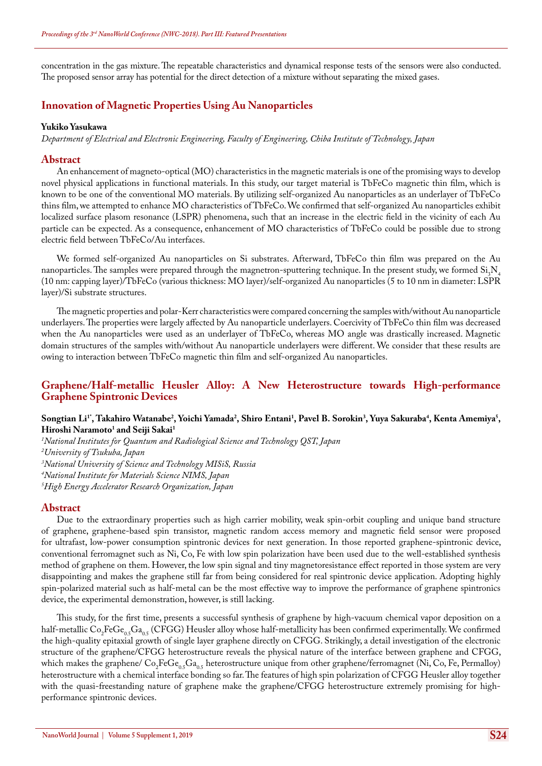concentration in the gas mixture. The repeatable characteristics and dynamical response tests of the sensors were also conducted. The proposed sensor array has potential for the direct detection of a mixture without separating the mixed gases.

## **Innovation of Magnetic Properties Using Au Nanoparticles**

#### **Yukiko Yasukawa**

*Department of Electrical and Electronic Engineering, Faculty of Engineering, Chiba Institute of Technology, Japan*

#### **Abstract**

An enhancement of magneto-optical (MO) characteristics in the magnetic materials is one of the promising ways to develop novel physical applications in functional materials. In this study, our target material is TbFeCo magnetic thin film, which is known to be one of the conventional MO materials. By utilizing self-organized Au nanoparticles as an underlayer of TbFeCo thins film, we attempted to enhance MO characteristics of TbFeCo. We confirmed that self-organized Au nanoparticles exhibit localized surface plasom resonance (LSPR) phenomena, such that an increase in the electric field in the vicinity of each Au particle can be expected. As a consequence, enhancement of MO characteristics of TbFeCo could be possible due to strong electric field between TbFeCo/Au interfaces.

We formed self-organized Au nanoparticles on Si substrates. Afterward, TbFeCo thin film was prepared on the Au nanoparticles. The samples were prepared through the magnetron-sputtering technique. In the present study, we formed  $Si_3N_4$ (10 nm: capping layer)/TbFeCo (various thickness: MO layer)/self-organized Au nanoparticles (5 to 10 nm in diameter: LSPR layer)/Si substrate structures.

The magnetic properties and polar-Kerr characteristics were compared concerning the samples with/without Au nanoparticle underlayers. The properties were largely affected by Au nanoparticle underlayers. Coercivity of TbFeCo thin film was decreased when the Au nanoparticles were used as an underlayer of TbFeCo, whereas MO angle was drastically increased. Magnetic domain structures of the samples with/without Au nanoparticle underlayers were different. We consider that these results are owing to interaction between TbFeCo magnetic thin film and self-organized Au nanoparticles.

# **Graphene/Half-metallic Heusler Alloy: A New Heterostructure towards High-performance Graphene Spintronic Devices**

#### **Songtian Li1\*, Takahiro Watanabe2 , Yoichi Yamada2 , Shiro Entani1 , Pavel B. Sorokin3 , Yuya Sakuraba4 , Kenta Amemiya5 , Hiroshi Naramoto1 and Seiji Sakai1**

*1 National Institutes for Quantum and Radiological Science and Technology QST, Japan*

*2 University of Tsukuba, Japan*

*3 National University of Science and Technology MISiS, Russia*

*4 National Institute for Materials Science NIMS, Japan*

*5 High Energy Accelerator Research Organization, Japan*

#### **Abstract**

Due to the extraordinary properties such as high carrier mobility, weak spin-orbit coupling and unique band structure of graphene, graphene-based spin transistor, magnetic random access memory and magnetic field sensor were proposed for ultrafast, low-power consumption spintronic devices for next generation. In those reported graphene-spintronic device, conventional ferromagnet such as Ni, Co, Fe with low spin polarization have been used due to the well-established synthesis method of graphene on them. However, the low spin signal and tiny magnetoresistance effect reported in those system are very disappointing and makes the graphene still far from being considered for real spintronic device application. Adopting highly spin-polarized material such as half-metal can be the most effective way to improve the performance of graphene spintronics device, the experimental demonstration, however, is still lacking.

This study, for the first time, presents a successful synthesis of graphene by high-vacuum chemical vapor deposition on a half-metallic  $Co_2FeGe_{0.5}Ga_{0.5}$  (CFGG) Heusler alloy whose half-metallicity has been confirmed experimentally. We confirmed the high-quality epitaxial growth of single layer graphene directly on CFGG. Strikingly, a detail investigation of the electronic structure of the graphene/CFGG heterostructure reveals the physical nature of the interface between graphene and CFGG, which makes the graphene/  $Co_2FeGe_{0.5}Ga_{0.5}$  heterostructure unique from other graphene/ferromagnet (Ni, Co, Fe, Permalloy) heterostructure with a chemical interface bonding so far. The features of high spin polarization of CFGG Heusler alloy together with the quasi-freestanding nature of graphene make the graphene/CFGG heterostructure extremely promising for highperformance spintronic devices.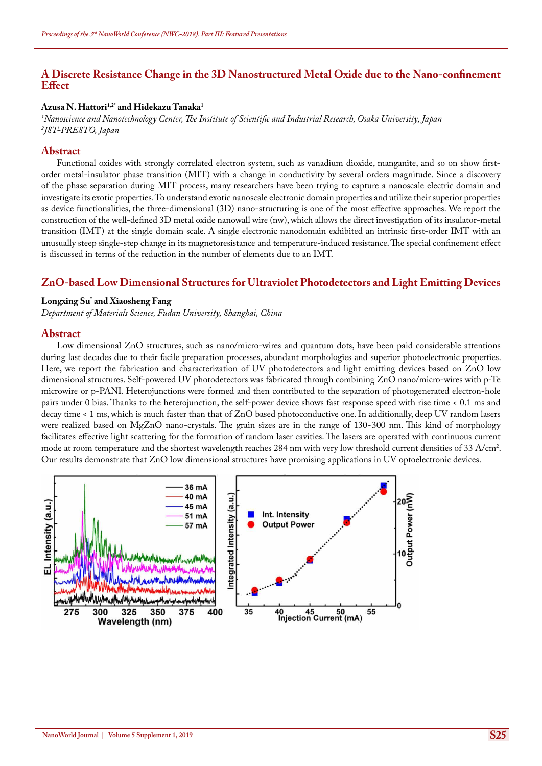# **A Discrete Resistance Change in the 3D Nanostructured Metal Oxide due to the Nano-confinement Effect**

#### **Azusa N. Hattori1,2\* and Hidekazu Tanaka1**

*1 Nanoscience and Nanotechnology Center, The Institute of Scientific and Industrial Research, Osaka University, Japan 2 JST-PRESTO, Japan*

#### **Abstract**

Functional oxides with strongly correlated electron system, such as vanadium dioxide, manganite, and so on show firstorder metal-insulator phase transition (MIT) with a change in conductivity by several orders magnitude. Since a discovery of the phase separation during MIT process, many researchers have been trying to capture a nanoscale electric domain and investigate its exotic properties. To understand exotic nanoscale electronic domain properties and utilize their superior properties as device functionalities, the three-dimensional (3D) nano-structuring is one of the most effective approaches. We report the construction of the well-defined 3D metal oxide nanowall wire (nw), which allows the direct investigation of its insulator-metal transition (IMT) at the single domain scale. A single electronic nanodomain exhibited an intrinsic first-order IMT with an unusually steep single-step change in its magnetoresistance and temperature-induced resistance. The special confinement effect is discussed in terms of the reduction in the number of elements due to an IMT.

# **ZnO-based Low Dimensional Structures for Ultraviolet Photodetectors and Light Emitting Devices**

### **Longxing Su\* and Xiaosheng Fang**

*Department of Materials Science, Fudan University, Shanghai, China*

#### **Abstract**

Low dimensional ZnO structures, such as nano/micro-wires and quantum dots, have been paid considerable attentions during last decades due to their facile preparation processes, abundant morphologies and superior photoelectronic properties. Here, we report the fabrication and characterization of UV photodetectors and light emitting devices based on ZnO low dimensional structures. Self-powered UV photodetectors was fabricated through combining ZnO nano/micro-wires with p-Te microwire or p-PANI. Heterojunctions were formed and then contributed to the separation of photogenerated electron-hole pairs under 0 bias. Thanks to the heterojunction, the self-power device shows fast response speed with rise time < 0.1 ms and decay time < 1 ms, which is much faster than that of ZnO based photoconductive one. In additionally, deep UV random lasers were realized based on MgZnO nano-crystals. The grain sizes are in the range of 130~300 nm. This kind of morphology facilitates effective light scattering for the formation of random laser cavities. The lasers are operated with continuous current mode at room temperature and the shortest wavelength reaches 284 nm with very low threshold current densities of 33 A/cm2 . Our results demonstrate that ZnO low dimensional structures have promising applications in UV optoelectronic devices.

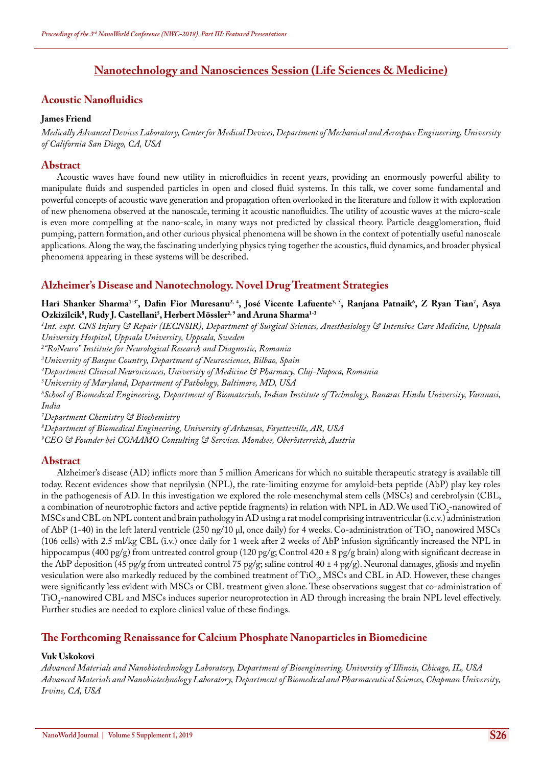# **Nanotechnology and Nanosciences Session (Life Sciences & Medicine)**

# **Acoustic Nanofluidics**

### **James Friend**

*Medically Advanced Devices Laboratory, Center for Medical Devices, Department of Mechanical and Aerospace Engineering, University of California San Diego, CA, USA*

# **Abstract**

Acoustic waves have found new utility in microfluidics in recent years, providing an enormously powerful ability to manipulate fluids and suspended particles in open and closed fluid systems. In this talk, we cover some fundamental and powerful concepts of acoustic wave generation and propagation often overlooked in the literature and follow it with exploration of new phenomena observed at the nanoscale, terming it acoustic nanofluidics. The utility of acoustic waves at the micro-scale is even more compelling at the nano-scale, in many ways not predicted by classical theory. Particle deagglomeration, fluid pumping, pattern formation, and other curious physical phenomena will be shown in the context of potentially useful nanoscale applications. Along the way, the fascinating underlying physics tying together the acoustics, fluid dynamics, and broader physical phenomena appearing in these systems will be described.

# **Alzheimer's Disease and Nanotechnology. Novel Drug Treatment Strategies**

Hari Shanker Sharma<sup>1-3</sup>', Dafin Fior Muresanu<sup>2, 4</sup>, José Vicente Lafuente<sup>3, 5</sup>, Ranjana Patnaik<sup>6</sup>, Z Ryan Tian<sup>7</sup>, Asya **Ozkizilcik8 , Rudy J. Castellani5 , Herbert Mössler2, 9 and Aruna Sharma1-3**

*1 Int. expt. CNS Injury & Repair (IECNSIR), Department of Surgical Sciences, Anesthesiology & Intensive Care Medicine, Uppsala University Hospital, Uppsala University, Uppsala, Sweden*

*2 ''RoNeuro'' Institute for Neurological Research and Diagnostic, Romania*

*3 University of Basque Country, Department of Neurosciences, Bilbao, Spain*

*4 Department Clinical Neurosciences, University of Medicine & Pharmacy, Cluj-Napoca, Romania*

*5 University of Maryland, Department of Pathology, Baltimore, MD, USA*

*6 School of Biomedical Engineering, Department of Biomaterials, Indian Institute of Technology, Banaras Hindu University, Varanasi, India*

*7 Department Chemistry & Biochemistry*

*8 Department of Biomedical Engineering, University of Arkansas, Fayetteville, AR, USA*

*9 CEO & Founder bei COMAMO Consulting & Services. Mondsee, Oberösterreich, Austria*

# **Abstract**

Alzheimer's disease (AD) inflicts more than 5 million Americans for which no suitable therapeutic strategy is available till today. Recent evidences show that neprilysin (NPL), the rate-limiting enzyme for amyloid-beta peptide (AbP) play key roles in the pathogenesis of AD. In this investigation we explored the role mesenchymal stem cells (MSCs) and cerebrolysin (CBL, a combination of neurotrophic factors and active peptide fragments) in relation with NPL in AD. We used  $11O<sub>2</sub>$ -nanowired of MSCs and CBL on NPL content and brain pathology in AD using a rat model comprising intraventricular (i.c.v.) administration of AbP (1-40) in the left lateral ventricle (250 ng/10 µl, once daily) for 4 weeks. Co-administration of TiO<sub>2</sub> nanowired MSCs (106 cells) with 2.5 ml/kg CBL (i.v.) once daily for 1 week after 2 weeks of AbP infusion significantly increased the NPL in hippocampus (400 pg/g) from untreated control group (120 pg/g; Control 420  $\pm$  8 pg/g brain) along with significant decrease in the AbP deposition (45 pg/g from untreated control 75 pg/g; saline control 40 ± 4 pg/g). Neuronal damages, gliosis and myelin vesiculation were also markedly reduced by the combined treatment of TiO<sub>2</sub>, MSCs and CBL in AD. However, these changes were significantly less evident with MSCs or CBL treatment given alone. These observations suggest that co-administration of  $TIO<sub>2</sub>$ -nanowired CBL and MSCs induces superior neuroprotection in AD through increasing the brain NPL level effectively. Further studies are needed to explore clinical value of these findings.

# **The Forthcoming Renaissance for Calcium Phosphate Nanoparticles in Biomedicine**

## **Vuk Uskokovi**

*Advanced Materials and Nanobiotechnology Laboratory, Department of Bioengineering, University of Illinois, Chicago, IL, USA Advanced Materials and Nanobiotechnology Laboratory, Department of Biomedical and Pharmaceutical Sciences, Chapman University, Irvine, CA, USA*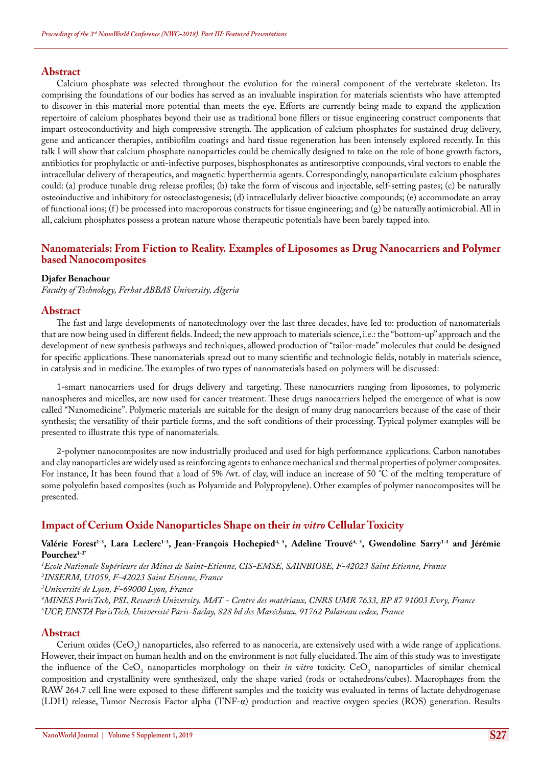Calcium phosphate was selected throughout the evolution for the mineral component of the vertebrate skeleton. Its comprising the foundations of our bodies has served as an invaluable inspiration for materials scientists who have attempted to discover in this material more potential than meets the eye. Efforts are currently being made to expand the application repertoire of calcium phosphates beyond their use as traditional bone fillers or tissue engineering construct components that impart osteoconductivity and high compressive strength. The application of calcium phosphates for sustained drug delivery, gene and anticancer therapies, antibiofilm coatings and hard tissue regeneration has been intensely explored recently. In this talk I will show that calcium phosphate nanoparticles could be chemically designed to take on the role of bone growth factors, antibiotics for prophylactic or anti-infective purposes, bisphosphonates as antiresorptive compounds, viral vectors to enable the intracellular delivery of therapeutics, and magnetic hyperthermia agents. Correspondingly, nanoparticulate calcium phosphates could: (a) produce tunable drug release profiles; (b) take the form of viscous and injectable, self-setting pastes; (c) be naturally osteoinductive and inhibitory for osteoclastogenesis; (d) intracellularly deliver bioactive compounds; (e) accommodate an array of functional ions;  $(f)$  be processed into macroporous constructs for tissue engineering; and  $(g)$  be naturally antimicrobial. All in all, calcium phosphates possess a protean nature whose therapeutic potentials have been barely tapped into.

## **Nanomaterials: From Fiction to Reality. Examples of Liposomes as Drug Nanocarriers and Polymer based Nanocomposites**

#### **Djafer Benachour**

*Faculty of Technology, Ferhat ABBAS University, Algeria*

#### **Abstract**

The fast and large developments of nanotechnology over the last three decades, have led to: production of nanomaterials that are now being used in different fields. Indeed; the new approach to materials science, i.e.: the "bottom-up" approach and the development of new synthesis pathways and techniques, allowed production of "tailor-made" molecules that could be designed for specific applications. These nanomaterials spread out to many scientific and technologic fields, notably in materials science, in catalysis and in medicine. The examples of two types of nanomaterials based on polymers will be discussed:

1-smart nanocarriers used for drugs delivery and targeting. These nanocarriers ranging from liposomes, to polymeric nanospheres and micelles, are now used for cancer treatment. These drugs nanocarriers helped the emergence of what is now called "Nanomedicine". Polymeric materials are suitable for the design of many drug nanocarriers because of the ease of their synthesis; the versatility of their particle forms, and the soft conditions of their processing. Typical polymer examples will be presented to illustrate this type of nanomaterials.

2-polymer nanocomposites are now industrially produced and used for high performance applications. Carbon nanotubes and clay nanoparticles are widely used as reinforcing agents to enhance mechanical and thermal properties of polymer composites. For instance, It has been found that a load of 5% /wt. of clay, will induce an increase of 50 °C of the melting temperature of some polyolefin based composites (such as Polyamide and Polypropylene). Other examples of polymer nanocomposites will be presented.

## **Impact of Cerium Oxide Nanoparticles Shape on their** *in vitro* **Cellular Toxicity**

#### Valérie Forest<sup>1-3</sup>, Lara Leclerc<sup>1-3</sup>, Jean-François Hochepied<sup>4, 5</sup>, Adeline Trouvé<sup>4, 5</sup>, Gwendoline Sarry<sup>1-3</sup> and Jérémie **Pourchez1-3\***

*1 Ecole Nationale Supérieure des Mines de Saint-Etienne, CIS-EMSE, SAINBIOSE, F-42023 Saint Etienne, France*

*2 INSERM, U1059, F-42023 Saint Etienne, France*

*3 Université de Lyon, F-69000 Lyon, France*

*4 MINES ParisTech, PSL Research University, MAT - Centre des matériaux, CNRS UMR 7633, BP 87 91003 Evry, France 5 UCP, ENSTA ParisTech, Université Paris-Saclay, 828 bd des Maréchaux, 91762 Palaiseau cedex, France*

#### **Abstract**

Cerium oxides (CeO<sub>2</sub>) nanoparticles, also referred to as nanoceria, are extensively used with a wide range of applications. However, their impact on human health and on the environment is not fully elucidated. The aim of this study was to investigate the influence of the  $CeO<sub>2</sub>$  nanoparticles morphology on their *in vitro* toxicity.  $CeO<sub>2</sub>$  nanoparticles of similar chemical composition and crystallinity were synthesized, only the shape varied (rods or octahedrons/cubes). Macrophages from the RAW 264.7 cell line were exposed to these different samples and the toxicity was evaluated in terms of lactate dehydrogenase (LDH) release, Tumor Necrosis Factor alpha (TNF-α) production and reactive oxygen species (ROS) generation. Results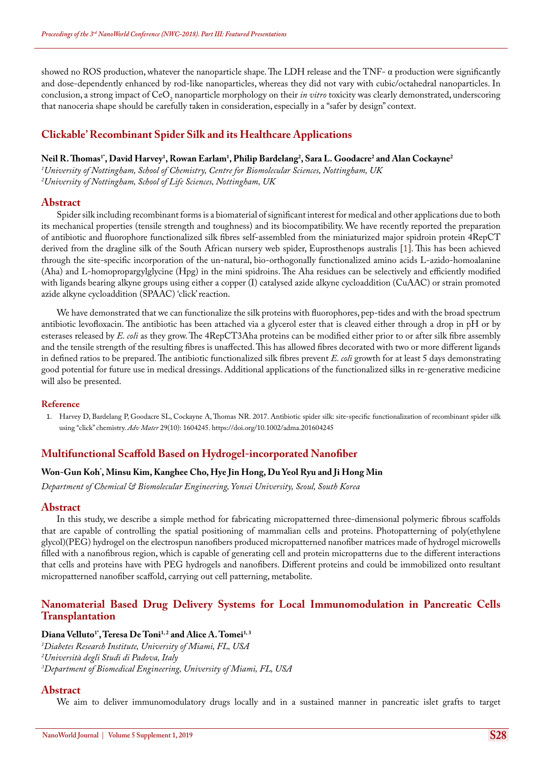showed no ROS production, whatever the nanoparticle shape. The LDH release and the TNF- $\alpha$  production were significantly and dose-dependently enhanced by rod-like nanoparticles, whereas they did not vary with cubic/octahedral nanoparticles. In conclusion, a strong impact of CeO<sub>2</sub> nanoparticle morphology on their *in vitro* toxicity was clearly demonstrated, underscoring that nanoceria shape should be carefully taken in consideration, especially in a "safer by design" context.

# **Clickable' Recombinant Spider Silk and its Healthcare Applications**

## $\bm{\mathrm{N}$ eil R. Thomas<sup>1</sup>", David Harvey<sup>1</sup>, Rowan Earlam<sup>1</sup>, Philip Bardelang<sup>2</sup>, Sara L. Goodacre<sup>2</sup> and Alan Cockayne<sup>2</sup>

*1 University of Nottingham, School of Chemistry, Centre for Biomolecular Sciences, Nottingham, UK 2 University of Nottingham, School of Life Sciences, Nottingham, UK*

#### **Abstract**

Spider silk including recombinant forms is a biomaterial of significant interest for medical and other applications due to both its mechanical properties (tensile strength and toughness) and its biocompatibility. We have recently reported the preparation of antibiotic and fluorophore functionalized silk fibres self-assembled from the miniaturized major spidroin protein 4RepCT derived from the dragline silk of the South African nursery web spider, Euprosthenops australis [1]. This has been achieved through the site-specific incorporation of the un-natural, bio-orthogonally functionalized amino acids L-azido-homoalanine (Aha) and L-homopropargylglycine (Hpg) in the mini spidroins. The Aha residues can be selectively and efficiently modified with ligands bearing alkyne groups using either a copper (I) catalysed azide alkyne cycloaddition (CuAAC) or strain promoted azide alkyne cycloaddition (SPAAC) 'click' reaction.

We have demonstrated that we can functionalize the silk proteins with fluorophores, pep-tides and with the broad spectrum antibiotic levofloxacin. The antibiotic has been attached via a glycerol ester that is cleaved either through a drop in pH or by esterases released by *E. coli* as they grow. The 4RepCT3Aha proteins can be modified either prior to or after silk fibre assembly and the tensile strength of the resulting fibres is unaffected. This has allowed fibres decorated with two or more different ligands in defined ratios to be prepared. The antibiotic functionalized silk fibres prevent *E. coli* growth for at least 5 days demonstrating good potential for future use in medical dressings. Additional applications of the functionalized silks in re-generative medicine will also be presented.

#### **Reference**

1. [Harvey D, Bardelang P, Goodacre SL, Cockayne A, Thomas NR. 2017. Antibiotic spider silk: site-specific functionalization of recombinant spider silk](https://www.ncbi.nlm.nih.gov/pubmed/28028885)  [using "click" chemistry.](https://www.ncbi.nlm.nih.gov/pubmed/28028885) *Adv Mater* 29(10): 1604245. <https://doi.org/10.1002/adma.201604245>

## **Multifunctional Scaffold Based on Hydrogel-incorporated Nanofiber**

# **Won-Gun Koh\* , Minsu Kim, Kanghee Cho, Hye Jin Hong, Du Yeol Ryu and Ji Hong Min**

*Department of Chemical & Biomolecular Engineering, Yonsei University, Seoul, South Korea*

## **Abstract**

In this study, we describe a simple method for fabricating micropatterned three-dimensional polymeric fibrous scaffolds that are capable of controlling the spatial positioning of mammalian cells and proteins. Photopatterning of poly(ethylene glycol)(PEG) hydrogel on the electrospun nanofibers produced micropatterned nanofiber matrices made of hydrogel microwells filled with a nanofibrous region, which is capable of generating cell and protein micropatterns due to the different interactions that cells and proteins have with PEG hydrogels and nanofibers. Different proteins and could be immobilized onto resultant micropatterned nanofiber scaffold, carrying out cell patterning, metabolite.

## **Nanomaterial Based Drug Delivery Systems for Local Immunomodulation in Pancreatic Cells Transplantation**

#### Diana Velluto<sup>1</sup><sup>\*</sup>, Teresa De Toni<sup>1,2</sup> and Alice A. Tomei<sup>1,3</sup>

*1 Diabetes Research Institute, University of Miami, FL, USA 2 Università degli Studi di Padova, Italy 3 Department of Biomedical Engineering, University of Miami, FL, USA*

#### **Abstract**

We aim to deliver immunomodulatory drugs locally and in a sustained manner in pancreatic islet grafts to target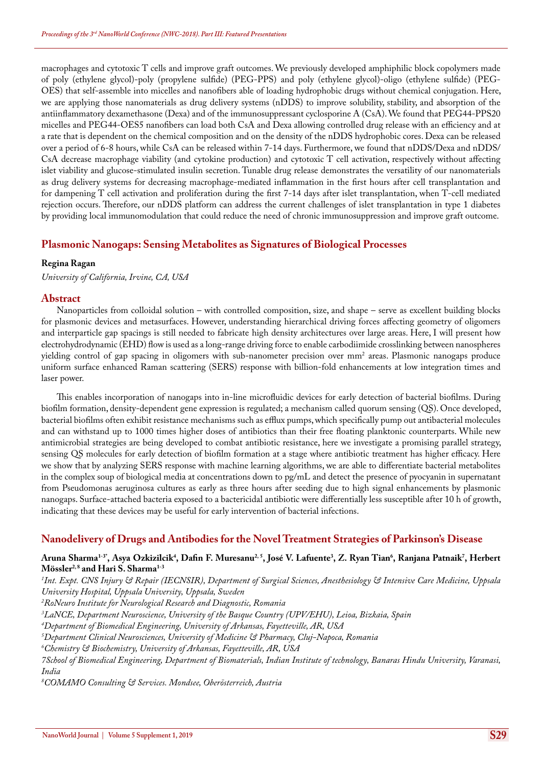macrophages and cytotoxic T cells and improve graft outcomes. We previously developed amphiphilic block copolymers made of poly (ethylene glycol)-poly (propylene sulfide) (PEG-PPS) and poly (ethylene glycol)-oligo (ethylene sulfide) (PEG-OES) that self-assemble into micelles and nanofibers able of loading hydrophobic drugs without chemical conjugation. Here, we are applying those nanomaterials as drug delivery systems (nDDS) to improve solubility, stability, and absorption of the antiinflammatory dexamethasone (Dexa) and of the immunosuppressant cyclosporine A (CsA). We found that PEG44-PPS20 micelles and PEG44-OES5 nanofibers can load both CsA and Dexa allowing controlled drug release with an efficiency and at a rate that is dependent on the chemical composition and on the density of the nDDS hydrophobic cores. Dexa can be released over a period of 6-8 hours, while CsA can be released within 7-14 days. Furthermore, we found that nDDS/Dexa and nDDS/ CsA decrease macrophage viability (and cytokine production) and cytotoxic T cell activation, respectively without affecting islet viability and glucose-stimulated insulin secretion. Tunable drug release demonstrates the versatility of our nanomaterials as drug delivery systems for decreasing macrophage-mediated inflammation in the first hours after cell transplantation and for dampening T cell activation and proliferation during the first 7-14 days after islet transplantation, when T-cell mediated rejection occurs. Therefore, our nDDS platform can address the current challenges of islet transplantation in type 1 diabetes by providing local immunomodulation that could reduce the need of chronic immunosuppression and improve graft outcome.

# **Plasmonic Nanogaps: Sensing Metabolites as Signatures of Biological Processes**

## **Regina Ragan**

*University of California, Irvine, CA, USA*

## **Abstract**

Nanoparticles from colloidal solution – with controlled composition, size, and shape – serve as excellent building blocks for plasmonic devices and metasurfaces. However, understanding hierarchical driving forces affecting geometry of oligomers and interparticle gap spacings is still needed to fabricate high density architectures over large areas. Here, I will present how electrohydrodynamic (EHD) flow is used as a long-range driving force to enable carbodiimide crosslinking between nanospheres yielding control of gap spacing in oligomers with sub-nanometer precision over mm<sup>2</sup> areas. Plasmonic nanogaps produce uniform surface enhanced Raman scattering (SERS) response with billion-fold enhancements at low integration times and laser power.

This enables incorporation of nanogaps into in-line microfluidic devices for early detection of bacterial biofilms. During biofilm formation, density-dependent gene expression is regulated; a mechanism called quorum sensing (QS). Once developed, bacterial biofilms often exhibit resistance mechanisms such as efflux pumps, which specifically pump out antibacterial molecules and can withstand up to 1000 times higher doses of antibiotics than their free floating planktonic counterparts. While new antimicrobial strategies are being developed to combat antibiotic resistance, here we investigate a promising parallel strategy, sensing QS molecules for early detection of biofilm formation at a stage where antibiotic treatment has higher efficacy. Here we show that by analyzing SERS response with machine learning algorithms, we are able to differentiate bacterial metabolites in the complex soup of biological media at concentrations down to pg/mL and detect the presence of pyocyanin in supernatant from Pseudomonas aeruginosa cultures as early as three hours after seeding due to high signal enhancements by plasmonic nanogaps. Surface-attached bacteria exposed to a bactericidal antibiotic were differentially less susceptible after 10 h of growth, indicating that these devices may be useful for early intervention of bacterial infections.

# **Nanodelivery of Drugs and Antibodies for the Novel Treatment Strategies of Parkinson's Disease**

#### Aruna Sharma<sup>1-3</sup>', Asya Ozkizilcik<sup>4</sup>, Dafin F. Muresanu<sup>2, 5</sup>, José V. Lafuente<sup>3</sup>, Z. Ryan Tian<sup>6</sup>, Ranjana Patnaik<sup>7</sup>, Herbert **Mössler2, 8 and Hari S. Sharma1-3**

 *Int. Expt. CNS Injury & Repair (IECNSIR), Department of Surgical Sciences, Anesthesiology & Intensive Care Medicine, Uppsala University Hospital, Uppsala University, Uppsala, Sweden RoNeuro Institute for Neurological Research and Diagnostic, Romania LaNCE, Department Neuroscience, University of the Basque Country (UPV/EHU), Leioa, Bizkaia, Spain Department of Biomedical Engineering, University of Arkansas, Fayetteville, AR, USA Department Clinical Neurosciences, University of Medicine & Pharmacy, Cluj-Napoca, Romania Chemistry & Biochemistry, University of Arkansas, Fayetteville, AR, USA 7School of Biomedical Engineering, Department of Biomaterials, Indian Institute of technology, Banaras Hindu University, Varanasi, India COMAMO Consulting & Services. Mondsee, Oberösterreich, Austria*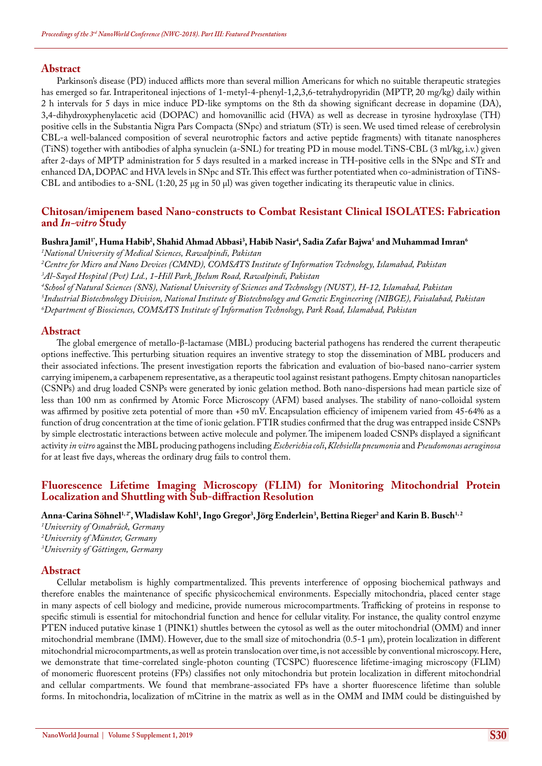Parkinson's disease (PD) induced afflicts more than several million Americans for which no suitable therapeutic strategies has emerged so far. Intraperitoneal injections of 1-metyl-4-phenyl-1,2,3,6-tetrahydropyridin (MPTP, 20 mg/kg) daily within 2 h intervals for 5 days in mice induce PD-like symptoms on the 8th da showing significant decrease in dopamine (DA), 3,4-dihydroxyphenylacetic acid (DOPAC) and homovanillic acid (HVA) as well as decrease in tyrosine hydroxylase (TH) positive cells in the Substantia Nigra Pars Compacta (SNpc) and striatum (STr) is seen. We used timed release of cerebrolysin CBL-a well-balanced composition of several neurotrophic factors and active peptide fragments) with titanate nanospheres (TiNS) together with antibodies of alpha synuclein (a-SNL) for treating PD in mouse model. TiNS-CBL (3 ml/kg, i.v.) given after 2-days of MPTP administration for 5 days resulted in a marked increase in TH-positive cells in the SNpc and STr and enhanced DA, DOPAC and HVA levels in SNpc and STr. This effect was further potentiated when co-administration of TiNS-CBL and antibodies to a-SNL (1:20, 25 μg in 50 μl) was given together indicating its therapeutic value in clinics.

### **Chitosan/imipenem based Nano-constructs to Combat Resistant Clinical ISOLATES: Fabrication and** *In-vitro* **Study**

# $\bf B$ ushra Jamil<sup>1</sup>", Huma Habib<sup>2</sup>, Shahid Ahmad Abbasi<sup>3</sup>, Habib Nasir<sup>4</sup>, Sadia Zafar Bajwa<sup>5</sup> and Muhammad Imran<sup>6</sup>

*1 National University of Medical Sciences, Rawalpindi, Pakistan*

*2 Centre for Micro and Nano Devices (CMND), COMSATS Institute of Information Technology, Islamabad, Pakistan 3 Al-Sayed Hospital (Pvt) Ltd., 1-Hill Park, Jhelum Road, Rawalpindi, Pakistan*

*4 School of Natural Sciences (SNS), National University of Sciences and Technology (NUST), H-12, Islamabad, Pakistan 5 Industrial Biotechnology Division, National Institute of Biotechnology and Genetic Engineering (NIBGE), Faisalabad, Pakistan 6 Department of Biosciences, COMSATS Institute of Information Technology, Park Road, Islamabad, Pakistan*

#### **Abstract**

The global emergence of metallo-β-lactamase (MBL) producing bacterial pathogens has rendered the current therapeutic options ineffective. This perturbing situation requires an inventive strategy to stop the dissemination of MBL producers and their associated infections. The present investigation reports the fabrication and evaluation of bio-based nano-carrier system carrying imipenem, a carbapenem representative, as a therapeutic tool against resistant pathogens. Empty chitosan nanoparticles (CSNPs) and drug loaded CSNPs were generated by ionic gelation method. Both nano-dispersions had mean particle size of less than 100 nm as confirmed by Atomic Force Microscopy (AFM) based analyses. The stability of nano-colloidal system was affirmed by positive zeta potential of more than +50 mV. Encapsulation efficiency of imipenem varied from 45-64% as a function of drug concentration at the time of ionic gelation. FTIR studies confirmed that the drug was entrapped inside CSNPs by simple electrostatic interactions between active molecule and polymer. The imipenem loaded CSNPs displayed a significant activity *in vitro* against the MBL producing pathogens including *Escherichia coli*, *Klebsiella pneumonia* and *Pseudomonas aeruginosa* for at least five days, whereas the ordinary drug fails to control them.

# **Fluorescence Lifetime Imaging Microscopy (FLIM) for Monitoring Mitochondrial Protein Localization and Shuttling with Sub-diffraction Resolution**

Anna-Carina Söhnel<sup>1,2</sup>', Wladislaw Kohl<sup>1</sup>, Ingo Gregor<sup>3</sup>, Jörg Enderlein<sup>3</sup>, Bettina Rieger<sup>2</sup> and Karin B. Busch<sup>1,2</sup>

*1 University of Osnabrück, Germany 2 University of Münster, Germany 3 University of Göttingen, Germany*

## **Abstract**

Cellular metabolism is highly compartmentalized. This prevents interference of opposing biochemical pathways and therefore enables the maintenance of specific physicochemical environments. Especially mitochondria, placed center stage in many aspects of cell biology and medicine, provide numerous microcompartments. Trafficking of proteins in response to specific stimuli is essential for mitochondrial function and hence for cellular vitality. For instance, the quality control enzyme PTEN induced putative kinase 1 (PINK1) shuttles between the cytosol as well as the outer mitochondrial (OMM) and inner mitochondrial membrane (IMM). However, due to the small size of mitochondria (0.5-1 μm), protein localization in different mitochondrial microcompartments, as well as protein translocation over time, is not accessible by conventional microscopy. Here, we demonstrate that time-correlated single-photon counting (TCSPC) fluorescence lifetime-imaging microscopy (FLIM) of monomeric fluorescent proteins (FPs) classifies not only mitochondria but protein localization in different mitochondrial and cellular compartments. We found that membrane-associated FPs have a shorter fluorescence lifetime than soluble forms. In mitochondria, localization of mCitrine in the matrix as well as in the OMM and IMM could be distinguished by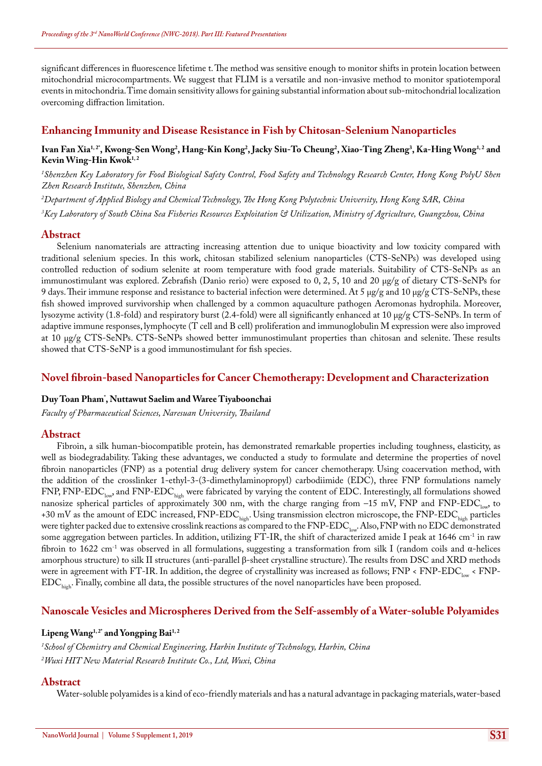significant differences in fluorescence lifetime t. The method was sensitive enough to monitor shifts in protein location between mitochondrial microcompartments. We suggest that FLIM is a versatile and non-invasive method to monitor spatiotemporal events in mitochondria. Time domain sensitivity allows for gaining substantial information about sub-mitochondrial localization overcoming diffraction limitation.

# **Enhancing Immunity and Disease Resistance in Fish by Chitosan-Selenium Nanoparticles**

### Ivan Fan Xia<sup>1, 2</sup>', Kwong-Sen Wong<sup>2</sup>, Hang-Kin Kong<sup>2</sup>, Jacky Siu-To Cheung<sup>2</sup>, Xiao-Ting Zheng<sup>3</sup>, Ka-Hing Wong<sup>1, 2</sup> and Kevin Wing-Hin Kwok<sup>1,2</sup>

*1 Shenzhen Key Laboratory for Food Biological Safety Control, Food Safety and Technology Research Center, Hong Kong PolyU Shen Zhen Research Institute, Shenzhen, China*

*2 Department of Applied Biology and Chemical Technology, The Hong Kong Polytechnic University, Hong Kong SAR, China*

*3 Key Laboratory of South China Sea Fisheries Resources Exploitation & Utilization, Ministry of Agriculture, Guangzhou, China*

# **Abstract**

Selenium nanomaterials are attracting increasing attention due to unique bioactivity and low toxicity compared with traditional selenium species. In this work, chitosan stabilized selenium nanoparticles (CTS-SeNPs) was developed using controlled reduction of sodium selenite at room temperature with food grade materials. Suitability of CTS-SeNPs as an immunostimulant was explored. Zebrafish (Danio rerio) were exposed to 0, 2, 5, 10 and 20 μg/g of dietary CTS-SeNPs for 9 days. Their immune response and resistance to bacterial infection were determined. At 5 μg/g and 10 μg/g CTS-SeNPs, these fish showed improved survivorship when challenged by a common aquaculture pathogen Aeromonas hydrophila. Moreover, lysozyme activity (1.8-fold) and respiratory burst (2.4-fold) were all significantly enhanced at 10 μg/g CTS-SeNPs. In term of adaptive immune responses, lymphocyte (T cell and B cell) proliferation and immunoglobulin M expression were also improved at 10 μg/g CTS-SeNPs. CTS-SeNPs showed better immunostimulant properties than chitosan and selenite. These results showed that CTS-SeNP is a good immunostimulant for fish species.

# **Novel fibroin-based Nanoparticles for Cancer Chemotherapy: Development and Characterization**

## **Duy Toan Pham\* , Nuttawut Saelim and Waree Tiyaboonchai**

*Faculty of Pharmaceutical Sciences, Naresuan University, Thailand*

## **Abstract**

Fibroin, a silk human-biocompatible protein, has demonstrated remarkable properties including toughness, elasticity, as well as biodegradability. Taking these advantages, we conducted a study to formulate and determine the properties of novel fibroin nanoparticles (FNP) as a potential drug delivery system for cancer chemotherapy. Using coacervation method, with the addition of the crosslinker 1-ethyl-3-(3-dimethylaminopropyl) carbodiimide (EDC), three FNP formulations namely FNP, FNP-EDC<sub>low</sub>, and FNP-EDC<sub>high</sub> were fabricated by varying the content of EDC. Interestingly, all formulations showed nanosize spherical particles of approximately 300 nm, with the charge ranging from  $-15$  mV, FNP and FNP-EDC<sub>low</sub>, to +30 mV as the amount of EDC increased, FNP-EDC<sub>high</sub>. Using transmission electron microscope, the FNP-EDC<sub>high</sub> particles were tighter packed due to extensive crosslink reactions as compared to the FNP-EDC<sub>low</sub>. Also, FNP with no EDC demonstrated some aggregation between particles. In addition, utilizing FT-IR, the shift of characterized amide I peak at 1646 cm<sup>-1</sup> in raw fibroin to 1622 cm<sup>-1</sup> was observed in all formulations, suggesting a transformation from silk I (random coils and  $\alpha$ -helices amorphous structure) to silk II structures (anti-parallel β-sheet crystalline structure). The results from DSC and XRD methods were in agreement with FT-IR. In addition, the degree of crystallinity was increased as follows;  $FNP < FNP - EDC_{low} < FNP$ -EDC<sub>high</sub>. Finally, combine all data, the possible structures of the novel nanoparticles have been proposed.

# **Nanoscale Vesicles and Microspheres Derived from the Self-assembly of a Water-soluble Polyamides**

#### Lipeng Wang<sup>1, 2\*</sup> and Yongping Bai<sup>1, 2</sup>

*1 School of Chemistry and Chemical Engineering, Harbin Institute of Technology, Harbin, China 2 Wuxi HIT New Material Research Institute Co., Ltd, Wuxi, China*

## **Abstract**

Water-soluble polyamides is a kind of eco-friendly materials and has a natural advantage in packaging materials, water-based